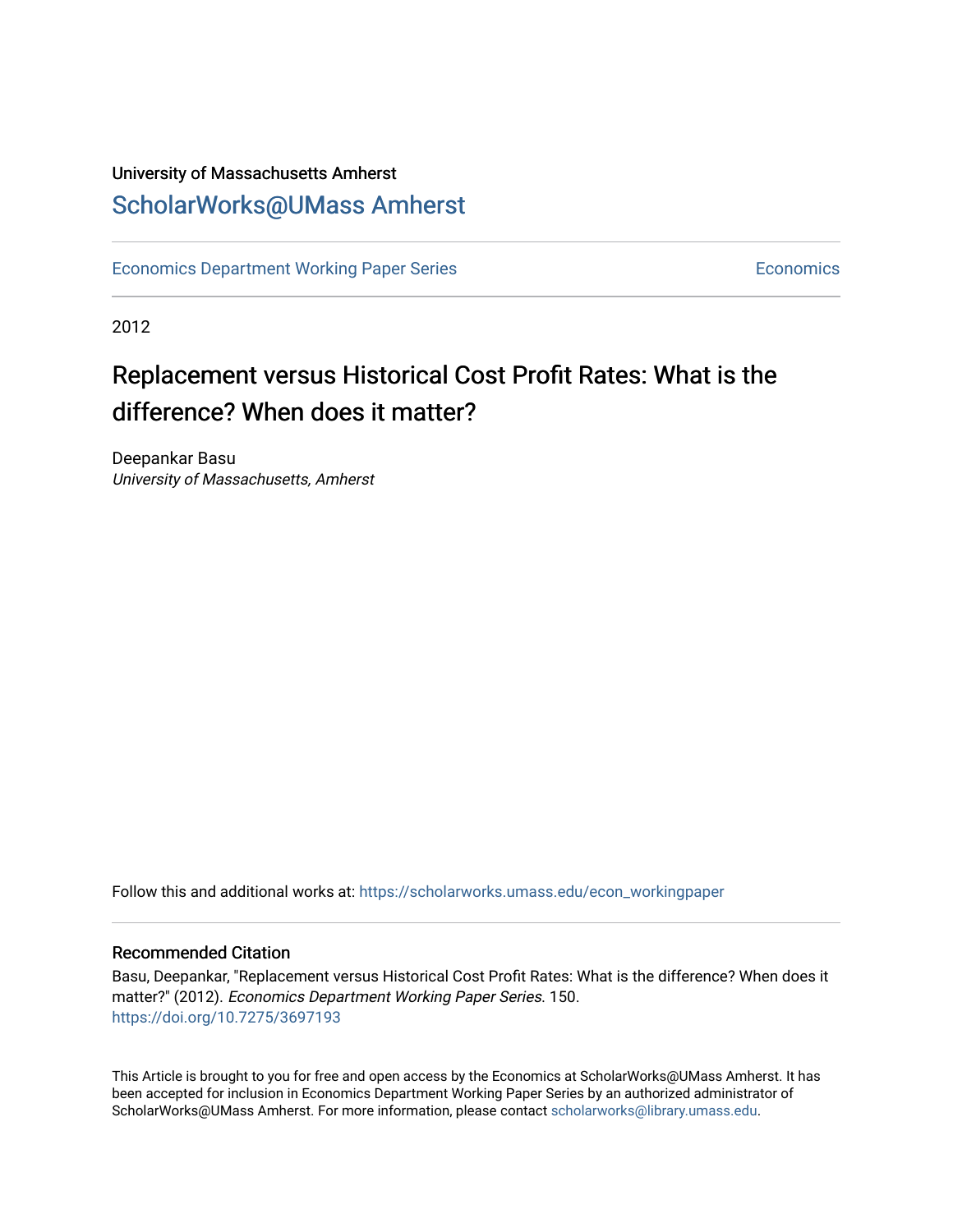## University of Massachusetts Amherst [ScholarWorks@UMass Amherst](https://scholarworks.umass.edu/)

[Economics Department Working Paper Series](https://scholarworks.umass.edu/econ_workingpaper) **Economics** Economics

2012

## Replacement versus Historical Cost Profit Rates: What is the difference? When does it matter?

Deepankar Basu University of Massachusetts, Amherst

Follow this and additional works at: [https://scholarworks.umass.edu/econ\\_workingpaper](https://scholarworks.umass.edu/econ_workingpaper?utm_source=scholarworks.umass.edu%2Fecon_workingpaper%2F150&utm_medium=PDF&utm_campaign=PDFCoverPages) 

#### Recommended Citation

Basu, Deepankar, "Replacement versus Historical Cost Profit Rates: What is the difference? When does it matter?" (2012). Economics Department Working Paper Series. 150. <https://doi.org/10.7275/3697193>

This Article is brought to you for free and open access by the Economics at ScholarWorks@UMass Amherst. It has been accepted for inclusion in Economics Department Working Paper Series by an authorized administrator of ScholarWorks@UMass Amherst. For more information, please contact [scholarworks@library.umass.edu.](mailto:scholarworks@library.umass.edu)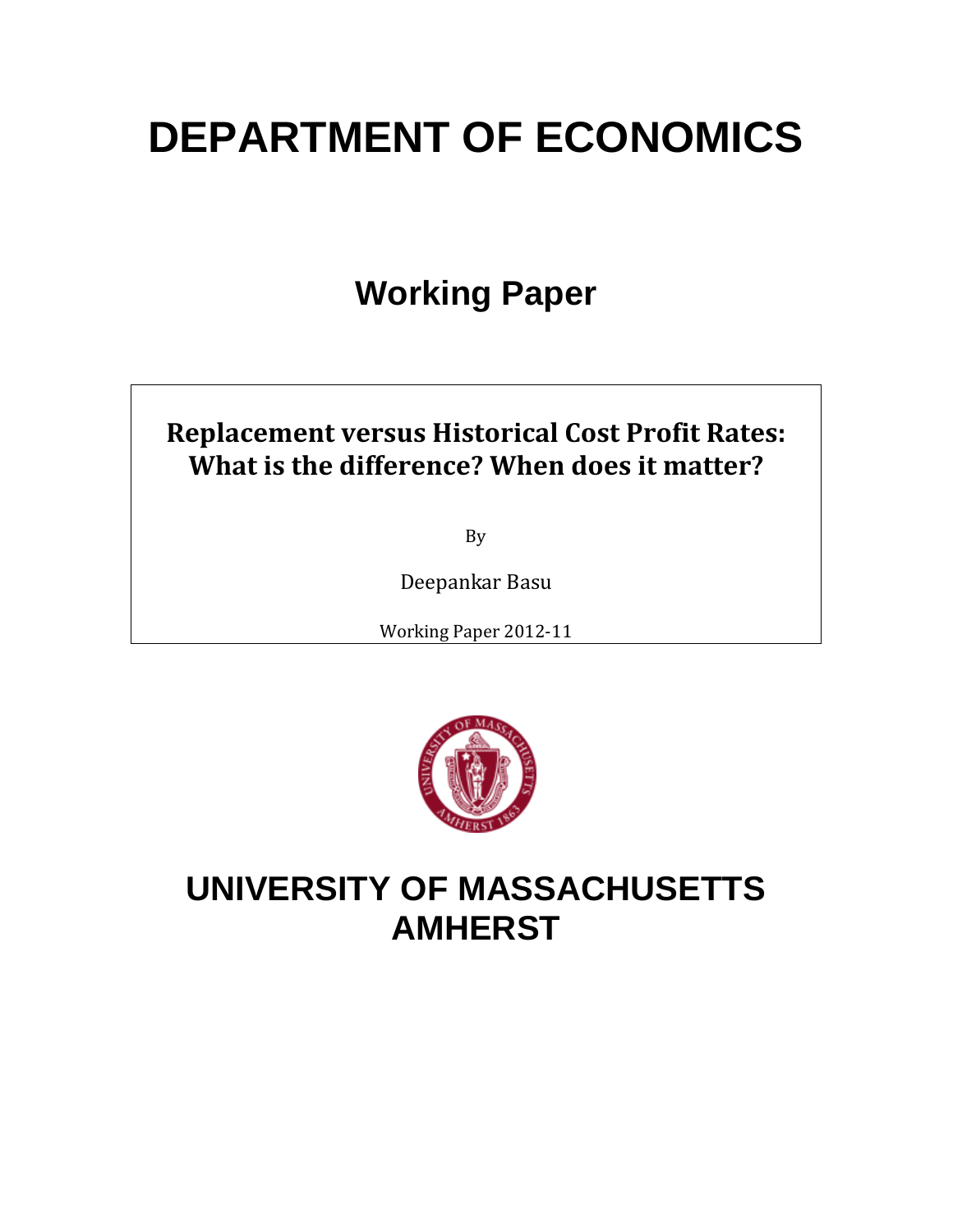# **DEPARTMENT OF ECONOMICS**

## **Working Paper**

## **Replacement versus Historical Cost Profit Rates: What is the difference? When does it matter?**

By

Deepankar Basu

Working Paper 2012-11



## **UNIVERSITY OF MASSACHUSETTS AMHERST**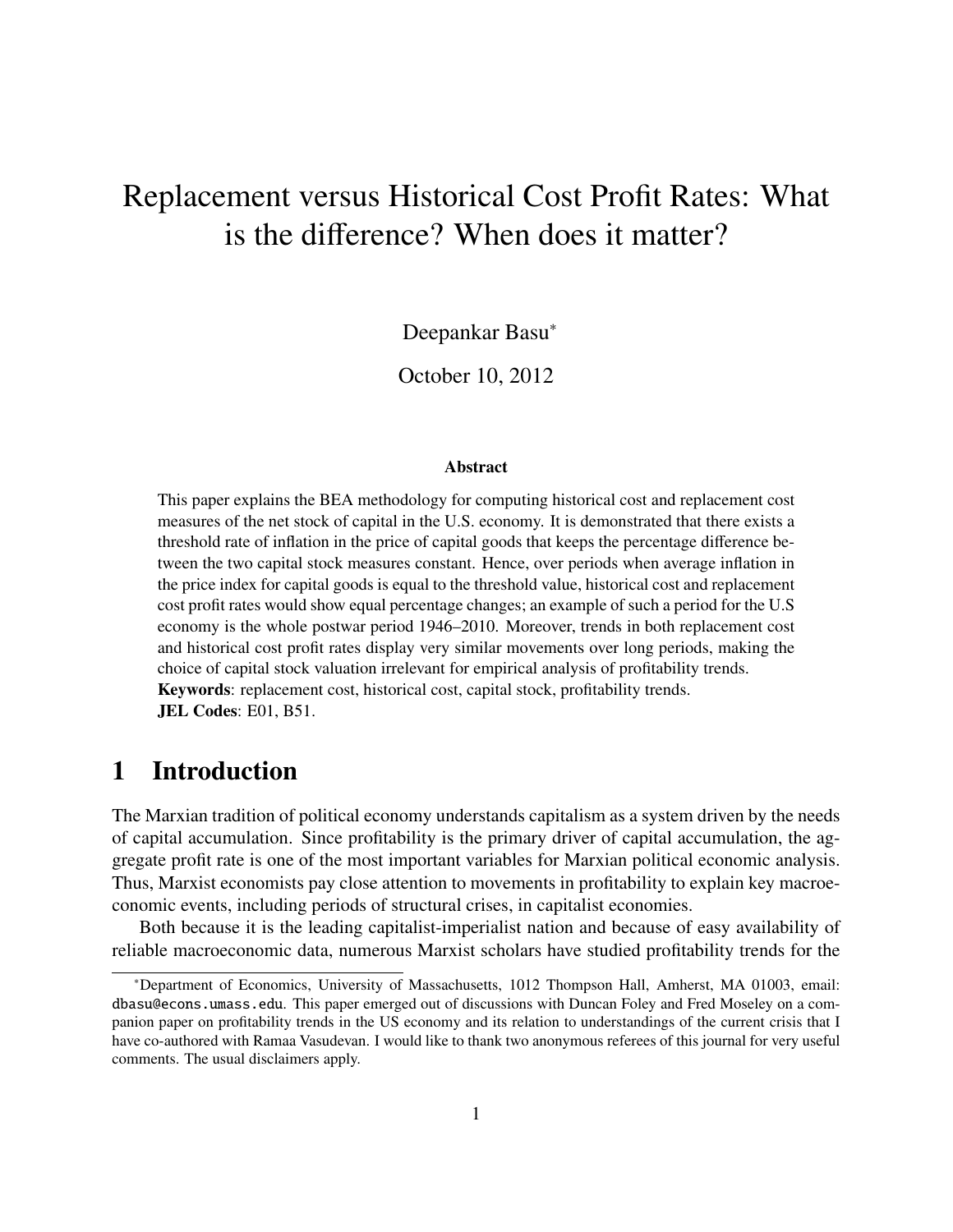## Replacement versus Historical Cost Profit Rates: What is the difference? When does it matter?

Deepankar Basu<sup>∗</sup>

October 10, 2012

#### Abstract

This paper explains the BEA methodology for computing historical cost and replacement cost measures of the net stock of capital in the U.S. economy. It is demonstrated that there exists a threshold rate of inflation in the price of capital goods that keeps the percentage difference between the two capital stock measures constant. Hence, over periods when average inflation in the price index for capital goods is equal to the threshold value, historical cost and replacement cost profit rates would show equal percentage changes; an example of such a period for the U.S economy is the whole postwar period 1946–2010. Moreover, trends in both replacement cost and historical cost profit rates display very similar movements over long periods, making the choice of capital stock valuation irrelevant for empirical analysis of profitability trends. Keywords: replacement cost, historical cost, capital stock, profitability trends. JEL Codes: E01, B51.

### 1 Introduction

The Marxian tradition of political economy understands capitalism as a system driven by the needs of capital accumulation. Since profitability is the primary driver of capital accumulation, the aggregate profit rate is one of the most important variables for Marxian political economic analysis. Thus, Marxist economists pay close attention to movements in profitability to explain key macroeconomic events, including periods of structural crises, in capitalist economies.

Both because it is the leading capitalist-imperialist nation and because of easy availability of reliable macroeconomic data, numerous Marxist scholars have studied profitability trends for the

<sup>∗</sup>Department of Economics, University of Massachusetts, 1012 Thompson Hall, Amherst, MA 01003, email: dbasu@econs.umass.edu. This paper emerged out of discussions with Duncan Foley and Fred Moseley on a companion paper on profitability trends in the US economy and its relation to understandings of the current crisis that I have co-authored with Ramaa Vasudevan. I would like to thank two anonymous referees of this journal for very useful comments. The usual disclaimers apply.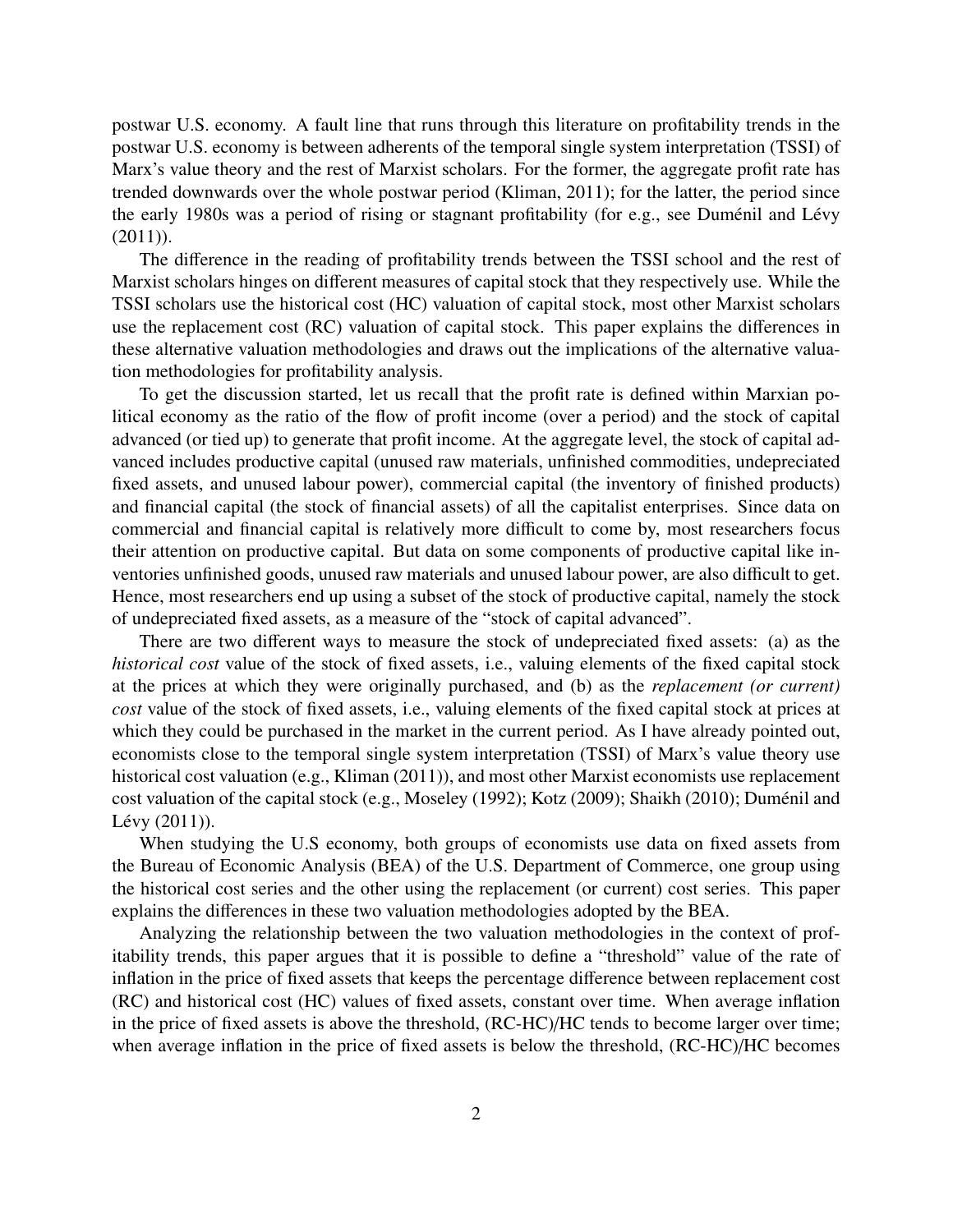postwar U.S. economy. A fault line that runs through this literature on profitability trends in the postwar U.S. economy is between adherents of the temporal single system interpretation (TSSI) of Marx's value theory and the rest of Marxist scholars. For the former, the aggregate profit rate has trended downwards over the whole postwar period (Kliman, 2011); for the latter, the period since the early 1980s was a period of rising or stagnant profitability (for e.g., see Duménil and Lévy (2011)).

The difference in the reading of profitability trends between the TSSI school and the rest of Marxist scholars hinges on different measures of capital stock that they respectively use. While the TSSI scholars use the historical cost (HC) valuation of capital stock, most other Marxist scholars use the replacement cost (RC) valuation of capital stock. This paper explains the differences in these alternative valuation methodologies and draws out the implications of the alternative valuation methodologies for profitability analysis.

To get the discussion started, let us recall that the profit rate is defined within Marxian political economy as the ratio of the flow of profit income (over a period) and the stock of capital advanced (or tied up) to generate that profit income. At the aggregate level, the stock of capital advanced includes productive capital (unused raw materials, unfinished commodities, undepreciated fixed assets, and unused labour power), commercial capital (the inventory of finished products) and financial capital (the stock of financial assets) of all the capitalist enterprises. Since data on commercial and financial capital is relatively more difficult to come by, most researchers focus their attention on productive capital. But data on some components of productive capital like inventories unfinished goods, unused raw materials and unused labour power, are also difficult to get. Hence, most researchers end up using a subset of the stock of productive capital, namely the stock of undepreciated fixed assets, as a measure of the "stock of capital advanced".

There are two different ways to measure the stock of undepreciated fixed assets: (a) as the *historical cost* value of the stock of fixed assets, i.e., valuing elements of the fixed capital stock at the prices at which they were originally purchased, and (b) as the *replacement (or current) cost* value of the stock of fixed assets, i.e., valuing elements of the fixed capital stock at prices at which they could be purchased in the market in the current period. As I have already pointed out, economists close to the temporal single system interpretation (TSSI) of Marx's value theory use historical cost valuation (e.g., Kliman (2011)), and most other Marxist economists use replacement cost valuation of the capital stock (e.g., Moseley (1992); Kotz (2009); Shaikh (2010); Duménil and Lévy  $(2011)$ ).

When studying the U.S economy, both groups of economists use data on fixed assets from the Bureau of Economic Analysis (BEA) of the U.S. Department of Commerce, one group using the historical cost series and the other using the replacement (or current) cost series. This paper explains the differences in these two valuation methodologies adopted by the BEA.

Analyzing the relationship between the two valuation methodologies in the context of profitability trends, this paper argues that it is possible to define a "threshold" value of the rate of inflation in the price of fixed assets that keeps the percentage difference between replacement cost (RC) and historical cost (HC) values of fixed assets, constant over time. When average inflation in the price of fixed assets is above the threshold, (RC-HC)/HC tends to become larger over time; when average inflation in the price of fixed assets is below the threshold, (RC-HC)/HC becomes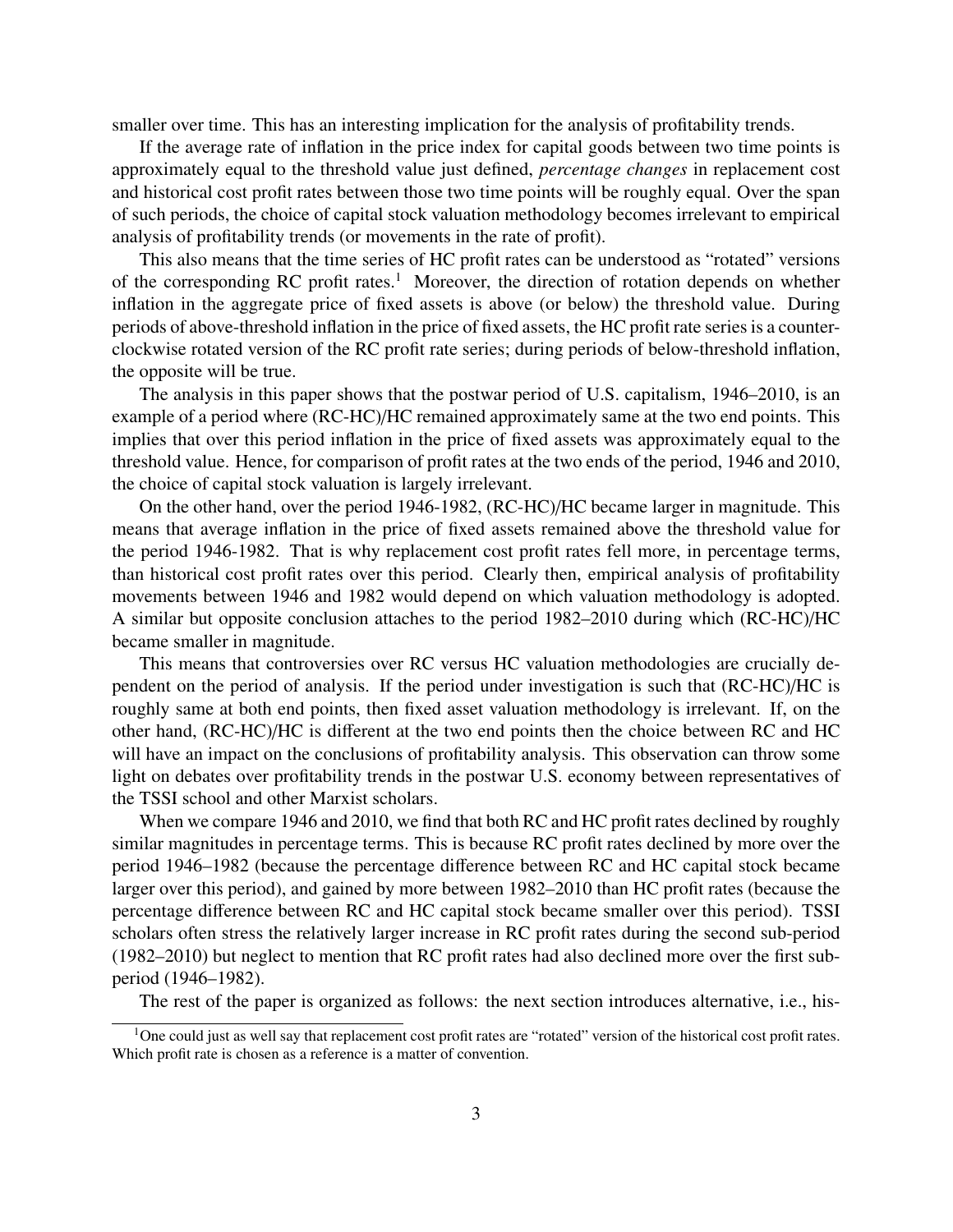smaller over time. This has an interesting implication for the analysis of profitability trends.

If the average rate of inflation in the price index for capital goods between two time points is approximately equal to the threshold value just defined, *percentage changes* in replacement cost and historical cost profit rates between those two time points will be roughly equal. Over the span of such periods, the choice of capital stock valuation methodology becomes irrelevant to empirical analysis of profitability trends (or movements in the rate of profit).

This also means that the time series of HC profit rates can be understood as "rotated" versions of the corresponding RC profit rates.<sup>1</sup> Moreover, the direction of rotation depends on whether inflation in the aggregate price of fixed assets is above (or below) the threshold value. During periods of above-threshold inflation in the price of fixed assets, the HC profit rate series is a counterclockwise rotated version of the RC profit rate series; during periods of below-threshold inflation, the opposite will be true.

The analysis in this paper shows that the postwar period of U.S. capitalism, 1946–2010, is an example of a period where (RC-HC)/HC remained approximately same at the two end points. This implies that over this period inflation in the price of fixed assets was approximately equal to the threshold value. Hence, for comparison of profit rates at the two ends of the period, 1946 and 2010, the choice of capital stock valuation is largely irrelevant.

On the other hand, over the period 1946-1982, (RC-HC)/HC became larger in magnitude. This means that average inflation in the price of fixed assets remained above the threshold value for the period 1946-1982. That is why replacement cost profit rates fell more, in percentage terms, than historical cost profit rates over this period. Clearly then, empirical analysis of profitability movements between 1946 and 1982 would depend on which valuation methodology is adopted. A similar but opposite conclusion attaches to the period 1982–2010 during which (RC-HC)/HC became smaller in magnitude.

This means that controversies over RC versus HC valuation methodologies are crucially dependent on the period of analysis. If the period under investigation is such that (RC-HC)/HC is roughly same at both end points, then fixed asset valuation methodology is irrelevant. If, on the other hand, (RC-HC)/HC is different at the two end points then the choice between RC and HC will have an impact on the conclusions of profitability analysis. This observation can throw some light on debates over profitability trends in the postwar U.S. economy between representatives of the TSSI school and other Marxist scholars.

When we compare 1946 and 2010, we find that both RC and HC profit rates declined by roughly similar magnitudes in percentage terms. This is because RC profit rates declined by more over the period 1946–1982 (because the percentage difference between RC and HC capital stock became larger over this period), and gained by more between 1982–2010 than HC profit rates (because the percentage difference between RC and HC capital stock became smaller over this period). TSSI scholars often stress the relatively larger increase in RC profit rates during the second sub-period (1982–2010) but neglect to mention that RC profit rates had also declined more over the first subperiod (1946–1982).

The rest of the paper is organized as follows: the next section introduces alternative, i.e., his-

<sup>&</sup>lt;sup>1</sup>One could just as well say that replacement cost profit rates are "rotated" version of the historical cost profit rates. Which profit rate is chosen as a reference is a matter of convention.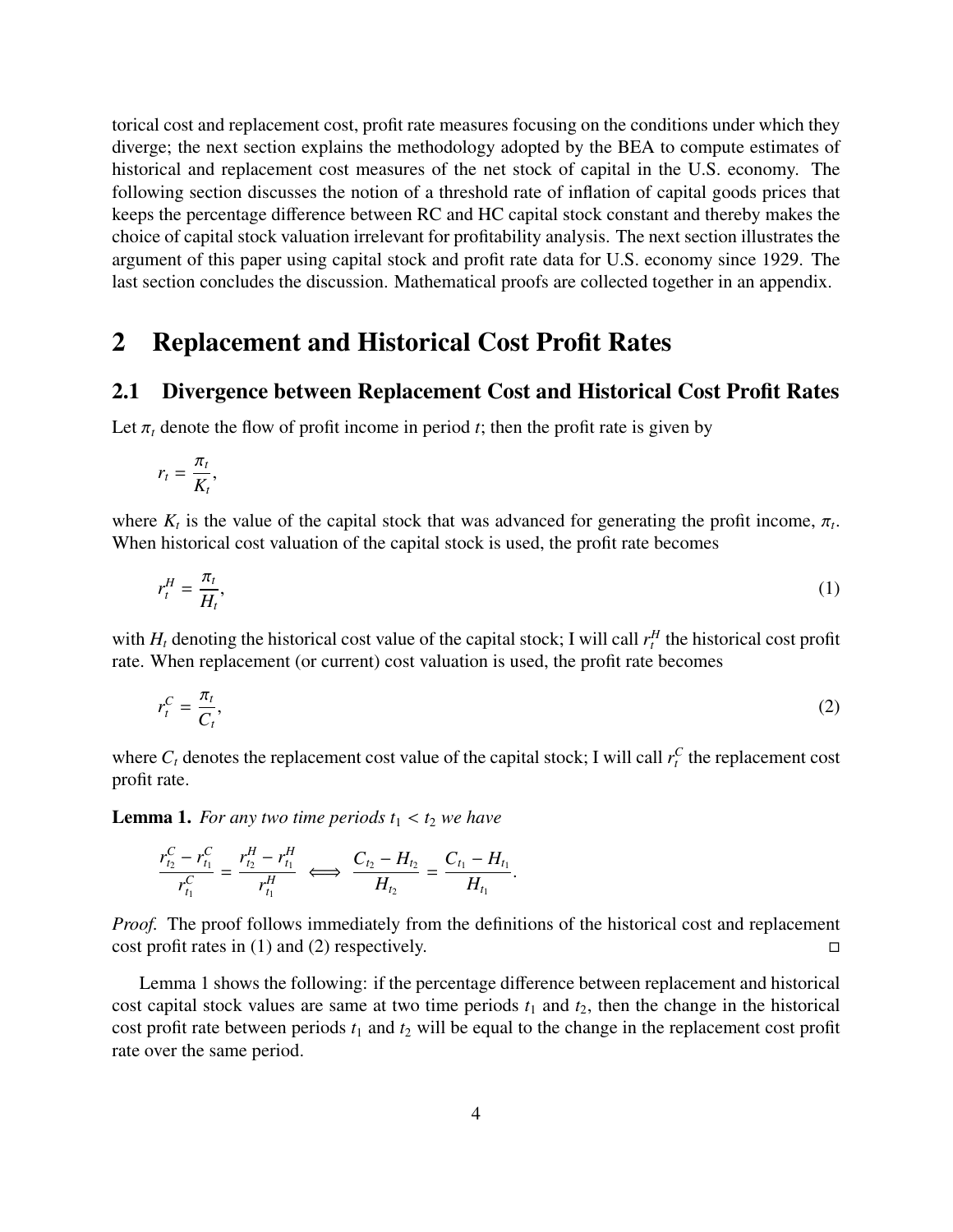torical cost and replacement cost, profit rate measures focusing on the conditions under which they diverge; the next section explains the methodology adopted by the BEA to compute estimates of historical and replacement cost measures of the net stock of capital in the U.S. economy. The following section discusses the notion of a threshold rate of inflation of capital goods prices that keeps the percentage difference between RC and HC capital stock constant and thereby makes the choice of capital stock valuation irrelevant for profitability analysis. The next section illustrates the argument of this paper using capital stock and profit rate data for U.S. economy since 1929. The last section concludes the discussion. Mathematical proofs are collected together in an appendix.

### 2 Replacement and Historical Cost Profit Rates

#### 2.1 Divergence between Replacement Cost and Historical Cost Profit Rates

Let  $\pi_t$  denote the flow of profit income in period *t*; then the profit rate is given by

$$
r_t = \frac{\pi_t}{K_t},
$$

where  $K_t$  is the value of the capital stock that was advanced for generating the profit income,  $\pi_t$ .<br>When historical cost valuation of the capital stock is used, the profit rate becomes When historical cost valuation of the capital stock is used, the profit rate becomes

$$
r_t^H = \frac{\pi_t}{H_t},\tag{1}
$$

with  $H_t$  denoting the historical cost value of the capital stock; I will call  $r_t^H$  the historical cost profit rate. When replacement (or current) cost valuation is used, the profit rate becomes

$$
r_t^C = \frac{\pi_t}{C_t},\tag{2}
$$

where  $C_t$  denotes the replacement cost value of the capital stock; I will call  $r_t^C$  the replacement cost profit rate.

**Lemma 1.** For any two time periods  $t_1 < t_2$  we have

$$
\frac{r_{t_2}^C - r_{t_1}^C}{r_{t_1}^C} = \frac{r_{t_2}^H - r_{t_1}^H}{r_{t_1}^H} \iff \frac{C_{t_2} - H_{t_2}}{H_{t_2}} = \frac{C_{t_1} - H_{t_1}}{H_{t_1}}
$$

*Proof.* The proof follows immediately from the definitions of the historical cost and replacement  $\Box$  cost profit rates in (1) and (2) respectively.

Lemma 1 shows the following: if the percentage difference between replacement and historical cost capital stock values are same at two time periods  $t_1$  and  $t_2$ , then the change in the historical cost profit rate between periods  $t_1$  and  $t_2$  will be equal to the change in the replacement cost profit rate over the same period.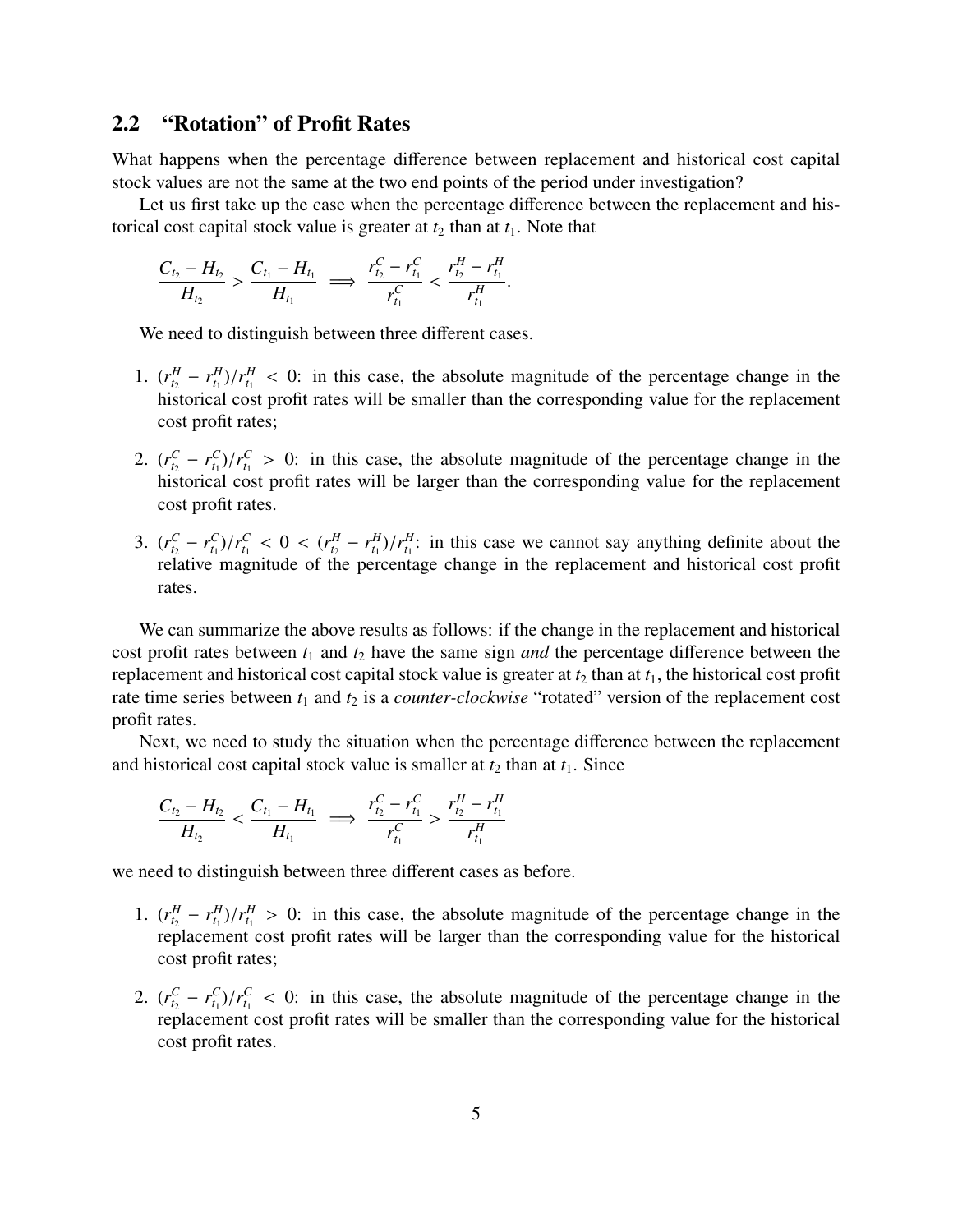#### 2.2 "Rotation" of Profit Rates

What happens when the percentage difference between replacement and historical cost capital stock values are not the same at the two end points of the period under investigation?

Let us first take up the case when the percentage difference between the replacement and historical cost capital stock value is greater at  $t_2$  than at  $t_1$ . Note that

$$
\frac{C_{t_2}-H_{t_2}}{H_{t_2}} > \frac{C_{t_1}-H_{t_1}}{H_{t_1}} \implies \frac{r_{t_2}^C-r_{t_1}^C}{r_{t_1}^C} < \frac{r_{t_2}^H-r_{t_1}^H}{r_{t_1}^H}.
$$

We need to distinguish between three different cases.

- 1.  $(r_{t_2}^H r_{t_1}^H)/r_{t_1}^H < 0$ : in this case, the absolute magnitude of the percentage change in the historical cost profit rates will be smaller than the corresponding value for the replacement historical cost profit rates will be smaller than the corresponding value for the replacement cost profit rates;
- 2.  $(r_{t_2}^C r_{t_1}^C)/r_{t_1}^C > 0$ : in this case, the absolute magnitude of the percentage change in the historical cost profit rates will be larger than the corresponding value for the replacement cost profit rates.
- 3.  $(r_{t_2}^C r_{t_1}^C)/r_{t_1}^C < 0 < (r_{t_2}^H r_{t_1}^H)/r_{t_1}^H$ : in this case we cannot say anything definite about the relative magnitude of the percentage change in the replacement and historical cost profit relative magnitude of the percentage change in the replacement and historical cost profit rates.

We can summarize the above results as follows: if the change in the replacement and historical cost profit rates between *t*<sup>1</sup> and *t*<sup>2</sup> have the same sign *and* the percentage difference between the replacement and historical cost capital stock value is greater at  $t_2$  than at  $t_1$ , the historical cost profit rate time series between  $t_1$  and  $t_2$  is a *counter-clockwise* "rotated" version of the replacement cost profit rates.

Next, we need to study the situation when the percentage difference between the replacement and historical cost capital stock value is smaller at  $t_2$  than at  $t_1$ . Since

$$
\frac{C_{t_2}-H_{t_2}}{H_{t_2}} < \frac{C_{t_1}-H_{t_1}}{H_{t_1}} \implies \frac{r_{t_2}^C - r_{t_1}^C}{r_{t_1}^C} > \frac{r_{t_2}^H - r_{t_1}^H}{r_{t_1}^H}
$$

we need to distinguish between three different cases as before.

- 1.  $(r_{t_2}^H r_{t_1}^H)/r_{t_1}^H > 0$ : in this case, the absolute magnitude of the percentage change in the replacement cost profit rates will be larger than the corresponding value for the historical cost profit rates;
- 2.  $(r_{t_2}^C r_{t_1}^C)/r_{t_1}^C < 0$ : in this case, the absolute magnitude of the percentage change in the replacement cost profit rates will be smaller than the corresponding value for the historical replacement cost profit rates will be smaller than the corresponding value for the historical cost profit rates.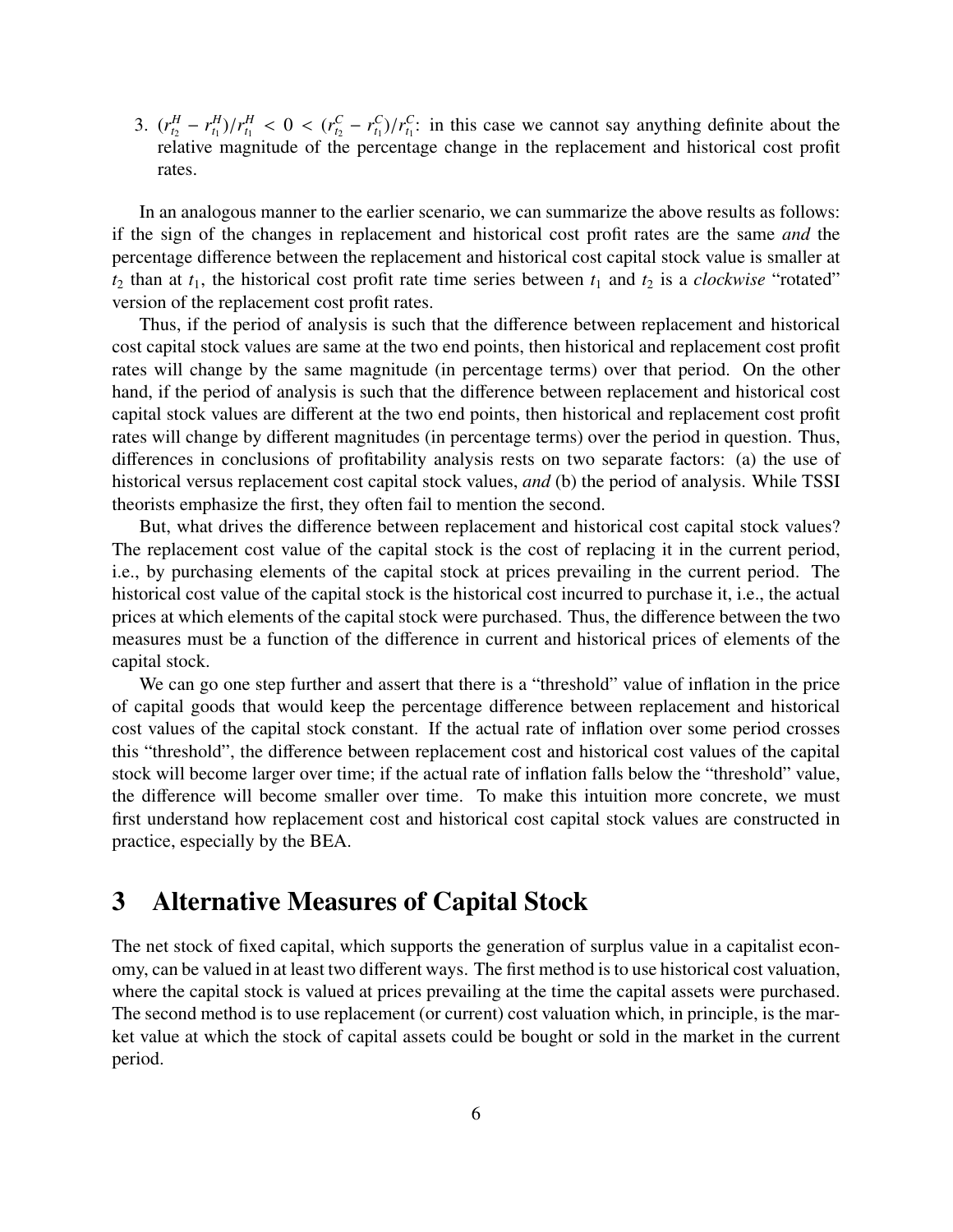3.  $(r_{t_2}^H - r_{t_1}^H)/r_{t_1}^H < 0 < (r_{t_2}^C - r_{t_1}^C)/r_{t_1}^C$ : in this case we cannot say anything definite about the relative magnitude of the percentage change in the replacement and historical cost profit relative magnitude of the percentage change in the replacement and historical cost profit rates.

In an analogous manner to the earlier scenario, we can summarize the above results as follows: if the sign of the changes in replacement and historical cost profit rates are the same *and* the percentage difference between the replacement and historical cost capital stock value is smaller at  $t_2$  than at  $t_1$ , the historical cost profit rate time series between  $t_1$  and  $t_2$  is a *clockwise* "rotated" version of the replacement cost profit rates.

Thus, if the period of analysis is such that the difference between replacement and historical cost capital stock values are same at the two end points, then historical and replacement cost profit rates will change by the same magnitude (in percentage terms) over that period. On the other hand, if the period of analysis is such that the difference between replacement and historical cost capital stock values are different at the two end points, then historical and replacement cost profit rates will change by different magnitudes (in percentage terms) over the period in question. Thus, differences in conclusions of profitability analysis rests on two separate factors: (a) the use of historical versus replacement cost capital stock values, *and* (b) the period of analysis. While TSSI theorists emphasize the first, they often fail to mention the second.

But, what drives the difference between replacement and historical cost capital stock values? The replacement cost value of the capital stock is the cost of replacing it in the current period, i.e., by purchasing elements of the capital stock at prices prevailing in the current period. The historical cost value of the capital stock is the historical cost incurred to purchase it, i.e., the actual prices at which elements of the capital stock were purchased. Thus, the difference between the two measures must be a function of the difference in current and historical prices of elements of the capital stock.

We can go one step further and assert that there is a "threshold" value of inflation in the price of capital goods that would keep the percentage difference between replacement and historical cost values of the capital stock constant. If the actual rate of inflation over some period crosses this "threshold", the difference between replacement cost and historical cost values of the capital stock will become larger over time; if the actual rate of inflation falls below the "threshold" value, the difference will become smaller over time. To make this intuition more concrete, we must first understand how replacement cost and historical cost capital stock values are constructed in practice, especially by the BEA.

## 3 Alternative Measures of Capital Stock

The net stock of fixed capital, which supports the generation of surplus value in a capitalist economy, can be valued in at least two different ways. The first method is to use historical cost valuation, where the capital stock is valued at prices prevailing at the time the capital assets were purchased. The second method is to use replacement (or current) cost valuation which, in principle, is the market value at which the stock of capital assets could be bought or sold in the market in the current period.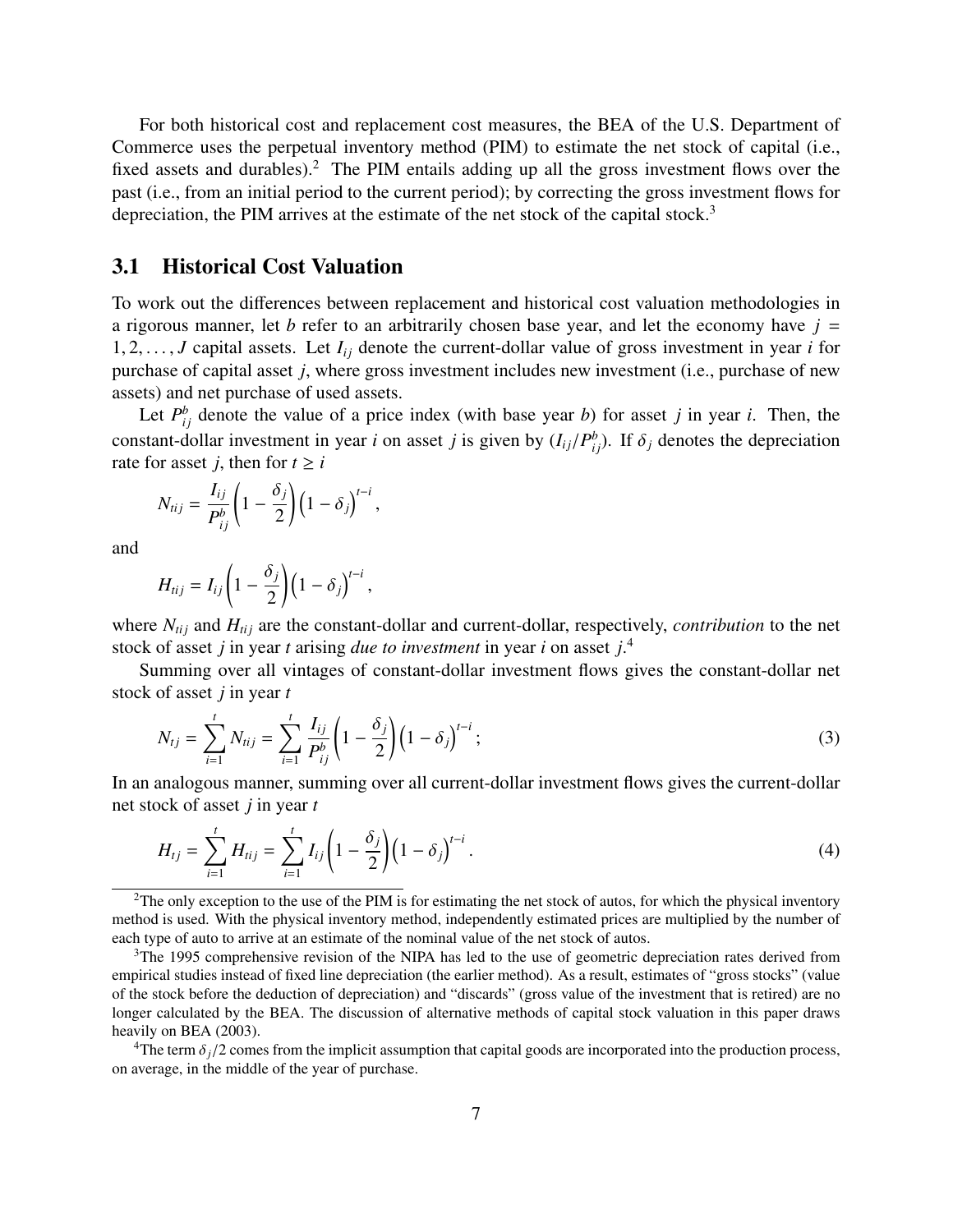For both historical cost and replacement cost measures, the BEA of the U.S. Department of Commerce uses the perpetual inventory method (PIM) to estimate the net stock of capital (i.e., fixed assets and durables).<sup>2</sup> The PIM entails adding up all the gross investment flows over the past (i.e., from an initial period to the current period); by correcting the gross investment flows for depreciation, the PIM arrives at the estimate of the net stock of the capital stock.<sup>3</sup>

#### 3.1 Historical Cost Valuation

To work out the differences between replacement and historical cost valuation methodologies in a rigorous manner, let *b* refer to an arbitrarily chosen base year, and let the economy have  $j =$ 1, 2, ..., *J* capital assets. Let  $I_{ij}$  denote the current-dollar value of gross investment in year *i* for purchase of capital asset *j*, where gross investment includes new investment (i.e., purchase of new assets) and net purchase of used assets.

Let  $P_{ij}^b$  denote the value of a price index (with base year *b*) for asset *j* in year *i*. Then, the constant-dollar investment in year *i* on asset *j* is given by  $(I_{ij}/P_{ij}^b)$ . If  $\delta_j$  denotes the depreciation rate for asset *i* then for  $t > i$ rate for asset *j*, then for  $t \ge i$ 

$$
N_{tij} = \frac{I_{ij}}{P_{ij}^b} \left(1 - \frac{\delta_j}{2}\right) \left(1 - \delta_j\right)^{t-i},
$$

and

$$
H_{tij}=I_{ij}\bigg(1-\frac{\delta_j}{2}\bigg)\big(1-\delta_j\bigg)^{t-i}\,,
$$

where  $N_{tij}$  and  $H_{tij}$  are the constant-dollar and current-dollar, respectively, *contribution* to the net stock of asset *j* in year *t* arising *due to investment* in year *i* on asset *j*. 4

Summing over all vintages of constant-dollar investment flows gives the constant-dollar net stock of asset *j* in year *t*

$$
N_{tj} = \sum_{i=1}^{t} N_{tij} = \sum_{i=1}^{t} \frac{I_{ij}}{P_{ij}^{b}} \left( 1 - \frac{\delta_j}{2} \right) \left( 1 - \delta_j \right)^{t-i};
$$
\n(3)

In an analogous manner, summing over all current-dollar investment flows gives the current-dollar net stock of asset *j* in year *t*

$$
H_{tj} = \sum_{i=1}^{t} H_{tij} = \sum_{i=1}^{t} I_{ij} \left( 1 - \frac{\delta_j}{2} \right) \left( 1 - \delta_j \right)^{t-i} . \tag{4}
$$

<sup>3</sup>The 1995 comprehensive revision of the NIPA has led to the use of geometric depreciation rates derived from empirical studies instead of fixed line depreciation (the earlier method). As a result, estimates of "gross stocks" (value of the stock before the deduction of depreciation) and "discards" (gross value of the investment that is retired) are no longer calculated by the BEA. The discussion of alternative methods of capital stock valuation in this paper draws heavily on BEA (2003).

<sup>4</sup>The term  $\delta_i/2$  comes from the implicit assumption that capital goods are incorporated into the production process, on average, in the middle of the year of purchase.

<sup>&</sup>lt;sup>2</sup>The only exception to the use of the PIM is for estimating the net stock of autos, for which the physical inventory method is used. With the physical inventory method, independently estimated prices are multiplied by the number of each type of auto to arrive at an estimate of the nominal value of the net stock of autos.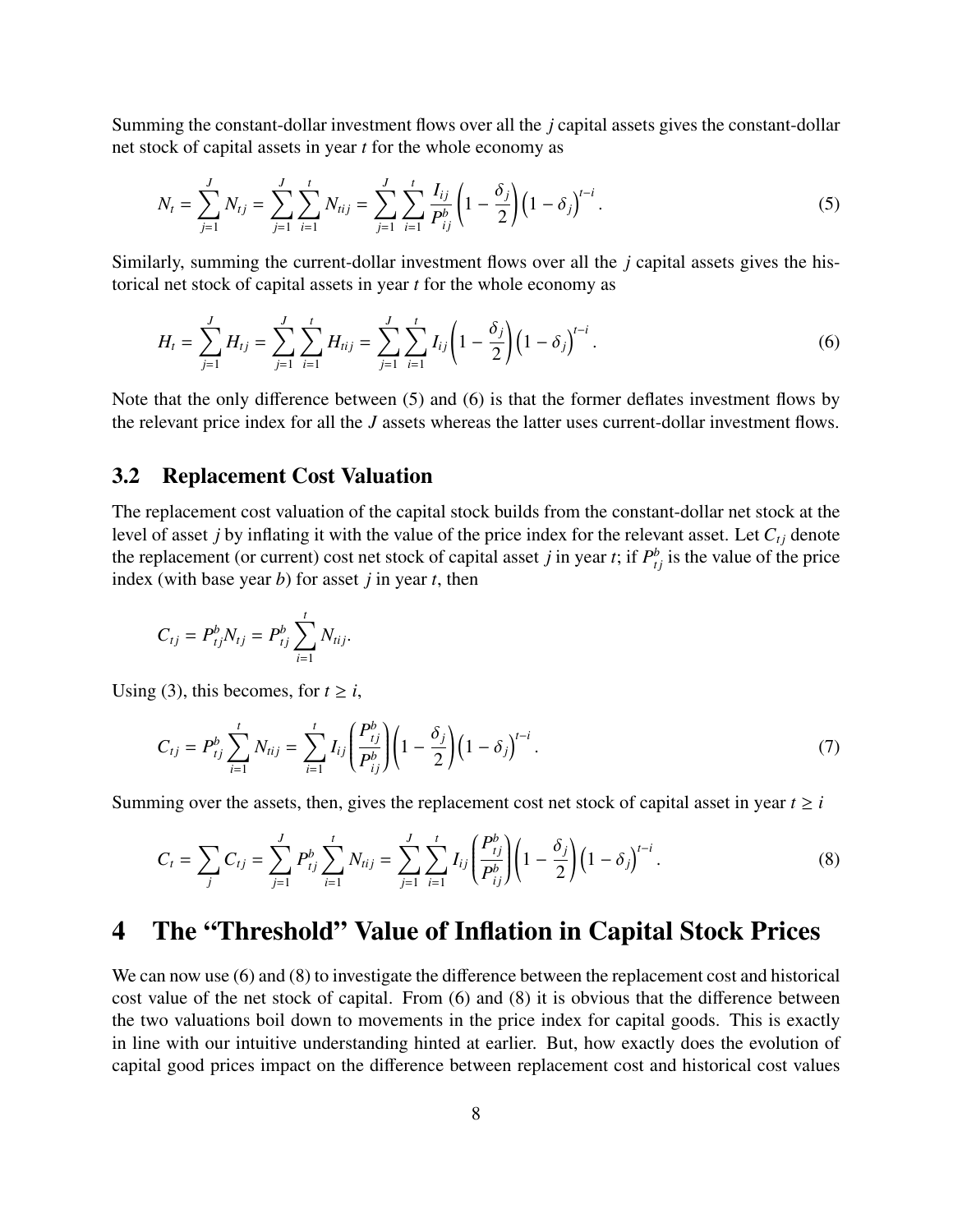Summing the constant-dollar investment flows over all the *j* capital assets gives the constant-dollar net stock of capital assets in year *t* for the whole economy as

$$
N_t = \sum_{j=1}^{J} N_{tj} = \sum_{j=1}^{J} \sum_{i=1}^{t} N_{tij} = \sum_{j=1}^{J} \sum_{i=1}^{t} \frac{I_{ij}}{P_{ij}^b} \left( 1 - \frac{\delta_j}{2} \right) \left( 1 - \delta_j \right)^{t-i}.
$$
 (5)

Similarly, summing the current-dollar investment flows over all the *j* capital assets gives the historical net stock of capital assets in year *t* for the whole economy as

$$
H_t = \sum_{j=1}^J H_{tj} = \sum_{j=1}^J \sum_{i=1}^t H_{tij} = \sum_{j=1}^J \sum_{i=1}^t I_{ij} \left( 1 - \frac{\delta_j}{2} \right) \left( 1 - \delta_j \right)^{t-i}.
$$
 (6)

Note that the only difference between (5) and (6) is that the former deflates investment flows by the relevant price index for all the *J* assets whereas the latter uses current-dollar investment flows.

#### 3.2 Replacement Cost Valuation

The replacement cost valuation of the capital stock builds from the constant-dollar net stock at the level of asset *j* by inflating it with the value of the price index for the relevant asset. Let  $C_{t_i}$  denote the replacement (or current) cost net stock of capital asset *j* in year *t*; if  $P_{t_j}^b$  is the value of the price index (with base year *b*) for asset *j* in year *t*, then

$$
C_{tj} = P_{tj}^{b} N_{tj} = P_{tj}^{b} \sum_{i=1}^{t} N_{tij}.
$$

Using (3), this becomes, for  $t \ge i$ ,

$$
C_{tj} = P_{tj}^{b} \sum_{i=1}^{t} N_{tij} = \sum_{i=1}^{t} I_{ij} \left( \frac{P_{tj}^{b}}{P_{ij}^{b}} \right) \left( 1 - \frac{\delta_{j}}{2} \right) \left( 1 - \delta_{j} \right)^{t-i}.
$$
 (7)

Summing over the assets, then, gives the replacement cost net stock of capital asset in year  $t \geq i$ 

$$
C_t = \sum_j C_{tj} = \sum_{j=1}^J P_{tj}^b \sum_{i=1}^t N_{tij} = \sum_{j=1}^J \sum_{i=1}^t I_{ij} \left( \frac{P_{tj}^b}{P_{tj}^b} \right) \left( 1 - \frac{\delta_j}{2} \right) \left( 1 - \delta_j \right)^{t-i}.
$$
 (8)

## 4 The "Threshold" Value of Inflation in Capital Stock Prices

We can now use  $(6)$  and  $(8)$  to investigate the difference between the replacement cost and historical cost value of the net stock of capital. From (6) and (8) it is obvious that the difference between the two valuations boil down to movements in the price index for capital goods. This is exactly in line with our intuitive understanding hinted at earlier. But, how exactly does the evolution of capital good prices impact on the difference between replacement cost and historical cost values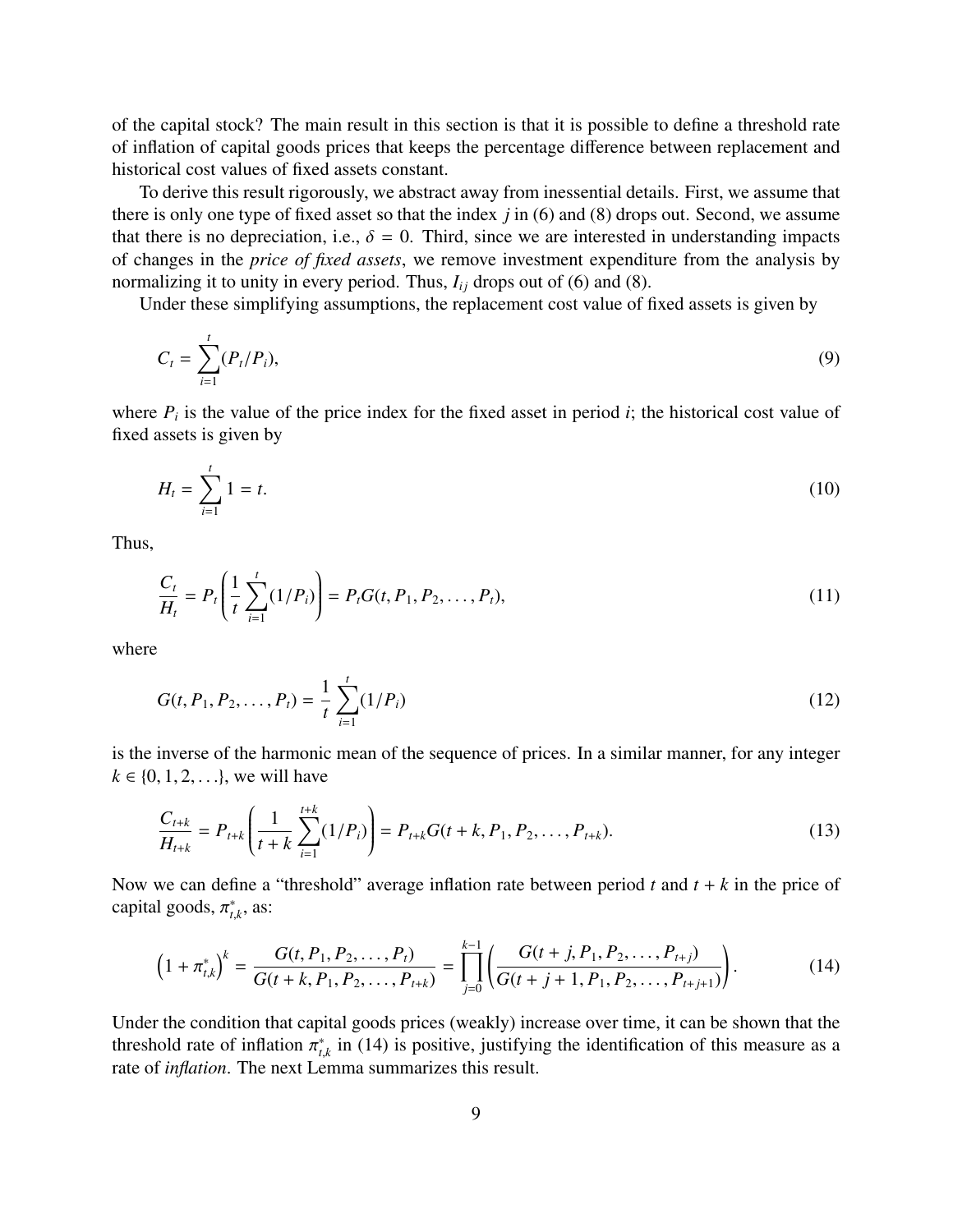of the capital stock? The main result in this section is that it is possible to define a threshold rate of inflation of capital goods prices that keeps the percentage difference between replacement and historical cost values of fixed assets constant.

To derive this result rigorously, we abstract away from inessential details. First, we assume that there is only one type of fixed asset so that the index *j* in (6) and (8) drops out. Second, we assume that there is no depreciation, i.e.,  $\delta = 0$ . Third, since we are interested in understanding impacts of changes in the *price of fixed assets*, we remove investment expenditure from the analysis by normalizing it to unity in every period. Thus,  $I_{ij}$  drops out of (6) and (8).

Under these simplifying assumptions, the replacement cost value of fixed assets is given by

$$
C_t = \sum_{i=1}^t (P_t/P_i),
$$
\n(9)

where  $P_i$  is the value of the price index for the fixed asset in period *i*; the historical cost value of fixed assets is given by

$$
H_t = \sum_{i=1}^t 1 = t.
$$
 (10)

Thus,

$$
\frac{C_t}{H_t} = P_t \left( \frac{1}{t} \sum_{i=1}^t (1/P_i) \right) = P_t G(t, P_1, P_2, \dots, P_t),\tag{11}
$$

where

$$
G(t, P_1, P_2, \dots, P_t) = \frac{1}{t} \sum_{i=1}^t (1/P_i)
$$
 (12)

is the inverse of the harmonic mean of the sequence of prices. In a similar manner, for any integer  $k \in \{0, 1, 2, \ldots\}$ , we will have

$$
\frac{C_{t+k}}{H_{t+k}} = P_{t+k} \left( \frac{1}{t+k} \sum_{i=1}^{t+k} (1/P_i) \right) = P_{t+k} G(t+k, P_1, P_2, \dots, P_{t+k}). \tag{13}
$$

Now we can define a "threshold" average inflation rate between period  $t$  and  $t + k$  in the price of capital goods,  $\pi^*_{t}$  $_{t,k}^*$ , as:

$$
\left(1+\pi_{t,k}^*\right)^k = \frac{G(t, P_1, P_2, \dots, P_t)}{G(t+k, P_1, P_2, \dots, P_{t+k})} = \prod_{j=0}^{k-1} \left(\frac{G(t+j, P_1, P_2, \dots, P_{t+j})}{G(t+j+1, P_1, P_2, \dots, P_{t+j+1})}\right).
$$
(14)

Under the condition that capital goods prices (weakly) increase over time, it can be shown that the threshold rate of inflation  $\pi_{t,k}^*$  in (14) is positive, justifying the identification of this measure as a rate of *inflation*. The next I emma summarizes this result threshold rate of *inflation*. The next Lemma summarizes this result.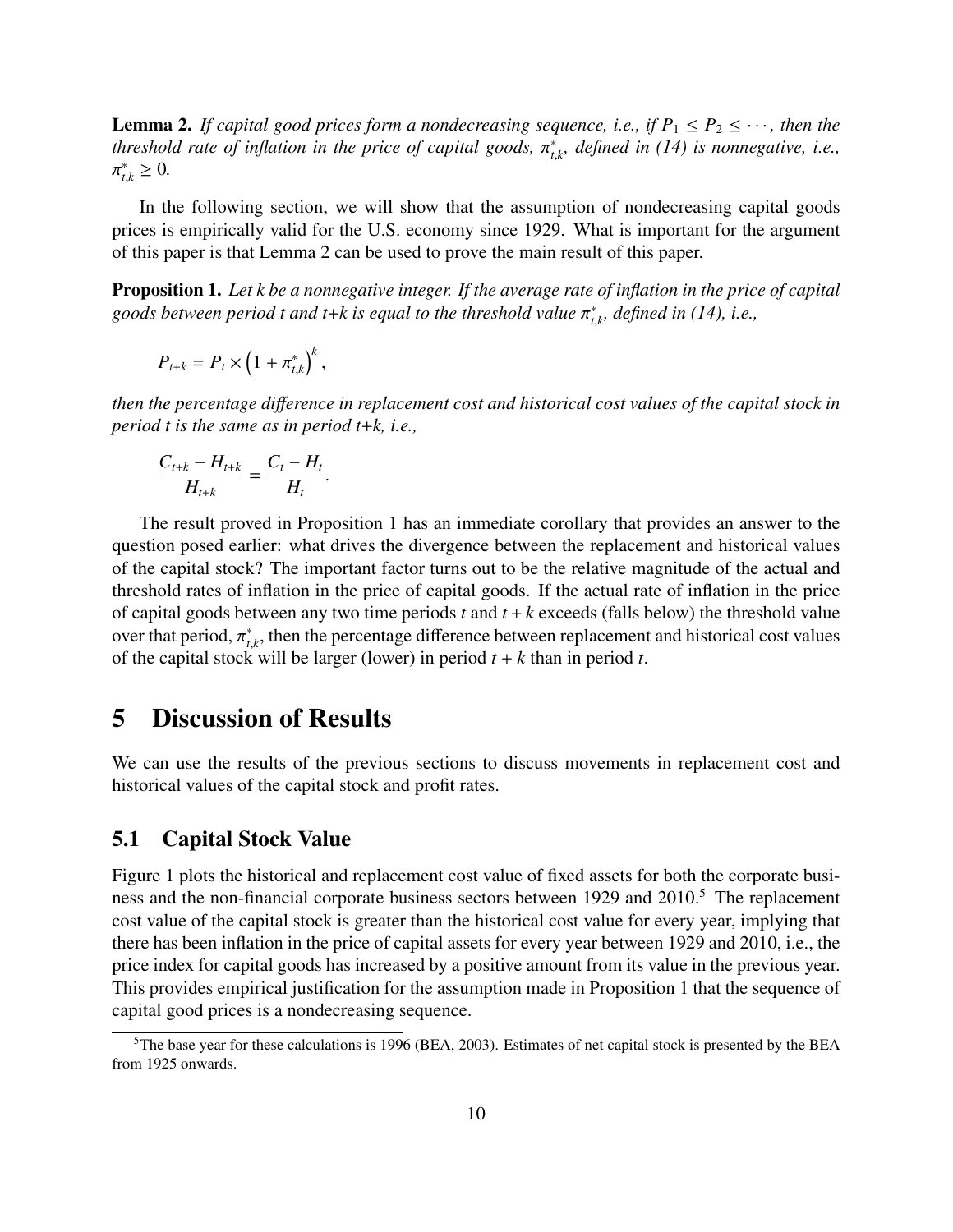**Lemma 2.** If capital good prices form a nondecreasing sequence, i.e., if  $P_1 \leq P_2 \leq \cdots$ , then the *threshold rate of inflation in the price of capital goods,*  $\pi_{t,m}^*$  > 0 *t*,*k , defined in (14) is nonnegative, i.e.,* ∗ *<sup>t</sup>*,*<sup>k</sup>* <sup>≥</sup> <sup>0</sup>*.*

In the following section, we will show that the assumption of nondecreasing capital goods prices is empirically valid for the U.S. economy since 1929. What is important for the argument of this paper is that Lemma 2 can be used to prove the main result of this paper.

Proposition 1. *Let k be a nonnegative integer. If the average rate of inflation in the price of capital goods between period t and t*+*k is equal to the threshold value* π ∗ *t*,*k , defined in (14), i.e.,*

$$
P_{t+k}=P_t\times\left(1+\pi_{t,k}^*\right)^k,
$$

*then the percentage di*ff*erence in replacement cost and historical cost values of the capital stock in period t is the same as in period t*+*k, i.e.,*

$$
\frac{C_{t+k} - H_{t+k}}{H_{t+k}} = \frac{C_t - H_t}{H_t}
$$

The result proved in Proposition 1 has an immediate corollary that provides an answer to the question posed earlier: what drives the divergence between the replacement and historical values of the capital stock? The important factor turns out to be the relative magnitude of the actual and threshold rates of inflation in the price of capital goods. If the actual rate of inflation in the price of capital goods between any two time periods *t* and *t* + *k* exceeds (falls below) the threshold value over that period,  $\pi_{t,k}^*$ , then the percentage difference between replacement and historical cost values<br>of the capital stock will be larger (lower) in period  $t + k$  than in period t for the capital stock will be larger (lower) in period  $t + k$  than in period  $t$ .

### 5 Discussion of Results

We can use the results of the previous sections to discuss movements in replacement cost and historical values of the capital stock and profit rates.

#### 5.1 Capital Stock Value

Figure 1 plots the historical and replacement cost value of fixed assets for both the corporate business and the non-financial corporate business sectors between 1929 and 2010.<sup>5</sup> The replacement cost value of the capital stock is greater than the historical cost value for every year, implying that there has been inflation in the price of capital assets for every year between 1929 and 2010, i.e., the price index for capital goods has increased by a positive amount from its value in the previous year. This provides empirical justification for the assumption made in Proposition 1 that the sequence of capital good prices is a nondecreasing sequence.

 $5$ The base year for these calculations is 1996 (BEA, 2003). Estimates of net capital stock is presented by the BEA from 1925 onwards.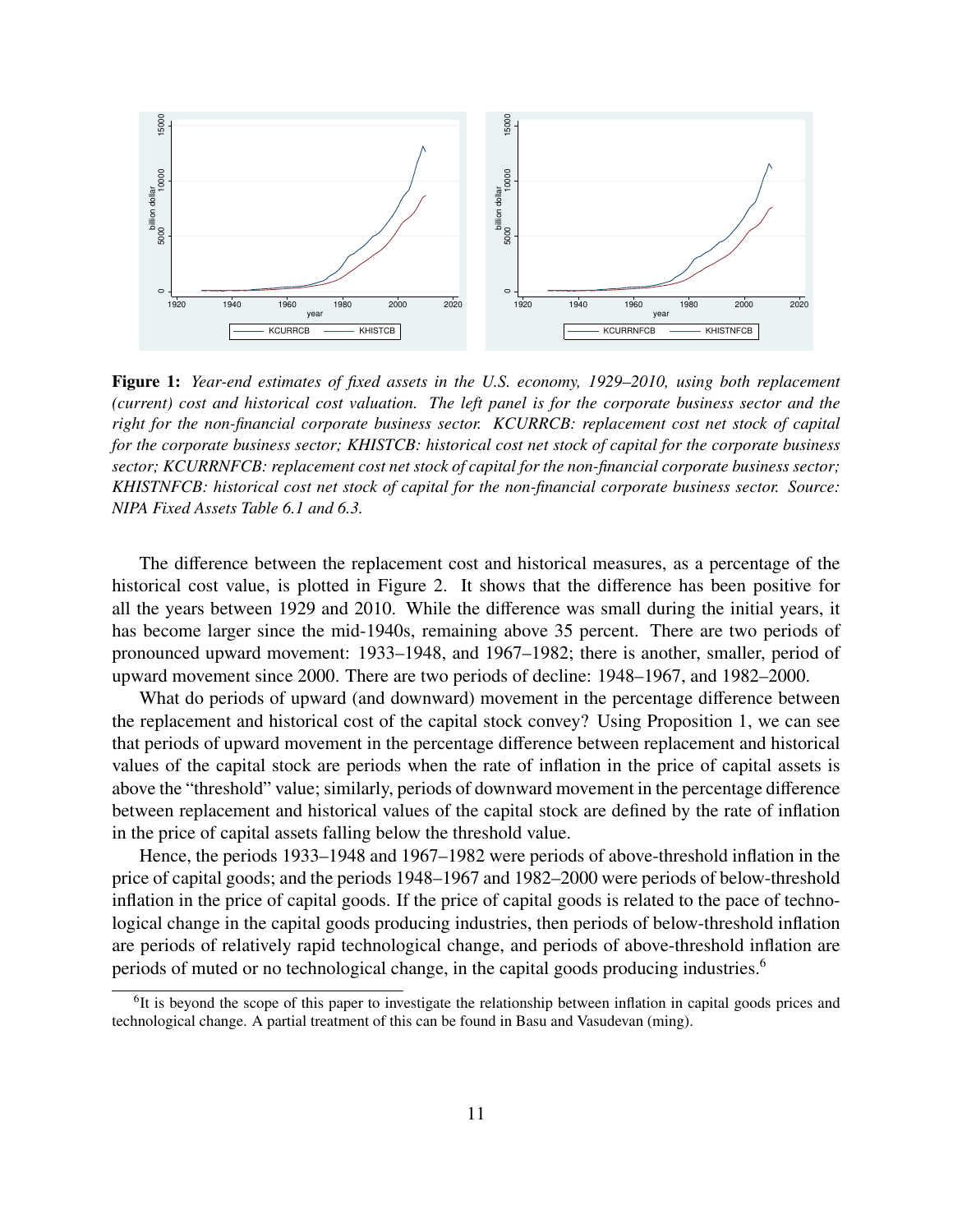

Figure 1: *Year-end estimates of fixed assets in the U.S. economy, 1929–2010, using both replacement (current) cost and historical cost valuation. The left panel is for the corporate business sector and the right for the non-financial corporate business sector. KCURRCB: replacement cost net stock of capital for the corporate business sector; KHISTCB: historical cost net stock of capital for the corporate business sector; KCURRNFCB: replacement cost net stock of capital for the non-financial corporate business sector; KHISTNFCB: historical cost net stock of capital for the non-financial corporate business sector. Source: NIPA Fixed Assets Table 6.1 and 6.3.*

The difference between the replacement cost and historical measures, as a percentage of the historical cost value, is plotted in Figure 2. It shows that the difference has been positive for all the years between 1929 and 2010. While the difference was small during the initial years, it has become larger since the mid-1940s, remaining above 35 percent. There are two periods of pronounced upward movement: 1933–1948, and 1967–1982; there is another, smaller, period of upward movement since 2000. There are two periods of decline: 1948–1967, and 1982–2000.

What do periods of upward (and downward) movement in the percentage difference between the replacement and historical cost of the capital stock convey? Using Proposition 1, we can see that periods of upward movement in the percentage difference between replacement and historical values of the capital stock are periods when the rate of inflation in the price of capital assets is above the "threshold" value; similarly, periods of downward movement in the percentage difference between replacement and historical values of the capital stock are defined by the rate of inflation in the price of capital assets falling below the threshold value.

Hence, the periods 1933–1948 and 1967–1982 were periods of above-threshold inflation in the price of capital goods; and the periods 1948–1967 and 1982–2000 were periods of below-threshold inflation in the price of capital goods. If the price of capital goods is related to the pace of technological change in the capital goods producing industries, then periods of below-threshold inflation are periods of relatively rapid technological change, and periods of above-threshold inflation are periods of muted or no technological change, in the capital goods producing industries.<sup>6</sup>

<sup>&</sup>lt;sup>6</sup>It is beyond the scope of this paper to investigate the relationship between inflation in capital goods prices and technological change. A partial treatment of this can be found in Basu and Vasudevan (ming).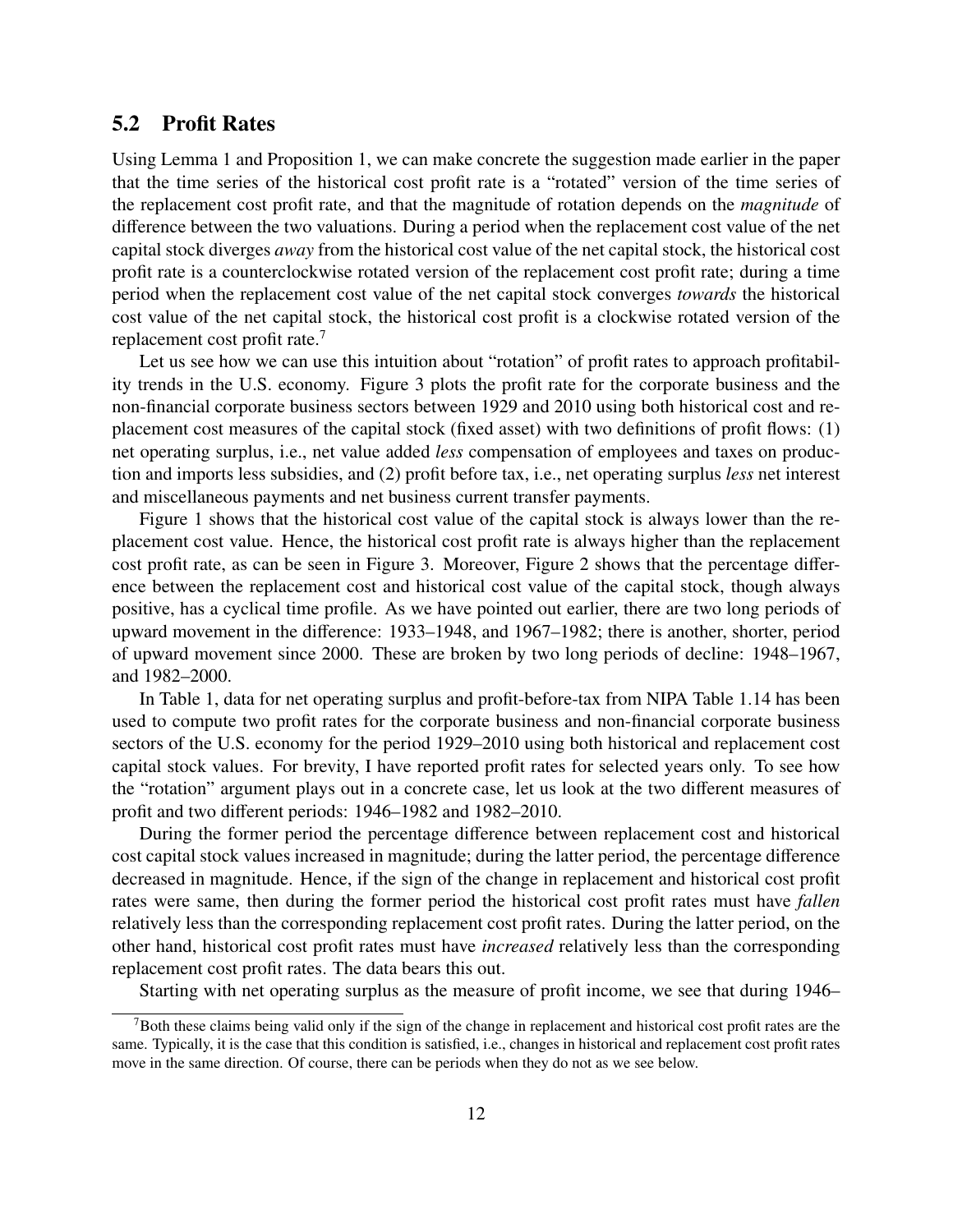#### 5.2 Profit Rates

Using Lemma 1 and Proposition 1, we can make concrete the suggestion made earlier in the paper that the time series of the historical cost profit rate is a "rotated" version of the time series of the replacement cost profit rate, and that the magnitude of rotation depends on the *magnitude* of difference between the two valuations. During a period when the replacement cost value of the net capital stock diverges *away* from the historical cost value of the net capital stock, the historical cost profit rate is a counterclockwise rotated version of the replacement cost profit rate; during a time period when the replacement cost value of the net capital stock converges *towards* the historical cost value of the net capital stock, the historical cost profit is a clockwise rotated version of the replacement cost profit rate.<sup>7</sup>

Let us see how we can use this intuition about "rotation" of profit rates to approach profitability trends in the U.S. economy. Figure 3 plots the profit rate for the corporate business and the non-financial corporate business sectors between 1929 and 2010 using both historical cost and replacement cost measures of the capital stock (fixed asset) with two definitions of profit flows: (1) net operating surplus, i.e., net value added *less* compensation of employees and taxes on production and imports less subsidies, and (2) profit before tax, i.e., net operating surplus *less* net interest and miscellaneous payments and net business current transfer payments.

Figure 1 shows that the historical cost value of the capital stock is always lower than the replacement cost value. Hence, the historical cost profit rate is always higher than the replacement cost profit rate, as can be seen in Figure 3. Moreover, Figure 2 shows that the percentage difference between the replacement cost and historical cost value of the capital stock, though always positive, has a cyclical time profile. As we have pointed out earlier, there are two long periods of upward movement in the difference: 1933–1948, and 1967–1982; there is another, shorter, period of upward movement since 2000. These are broken by two long periods of decline: 1948–1967, and 1982–2000.

In Table 1, data for net operating surplus and profit-before-tax from NIPA Table 1.14 has been used to compute two profit rates for the corporate business and non-financial corporate business sectors of the U.S. economy for the period 1929–2010 using both historical and replacement cost capital stock values. For brevity, I have reported profit rates for selected years only. To see how the "rotation" argument plays out in a concrete case, let us look at the two different measures of profit and two different periods: 1946–1982 and 1982–2010.

During the former period the percentage difference between replacement cost and historical cost capital stock values increased in magnitude; during the latter period, the percentage difference decreased in magnitude. Hence, if the sign of the change in replacement and historical cost profit rates were same, then during the former period the historical cost profit rates must have *fallen* relatively less than the corresponding replacement cost profit rates. During the latter period, on the other hand, historical cost profit rates must have *increased* relatively less than the corresponding replacement cost profit rates. The data bears this out.

Starting with net operating surplus as the measure of profit income, we see that during 1946–

<sup>7</sup>Both these claims being valid only if the sign of the change in replacement and historical cost profit rates are the same. Typically, it is the case that this condition is satisfied, i.e., changes in historical and replacement cost profit rates move in the same direction. Of course, there can be periods when they do not as we see below.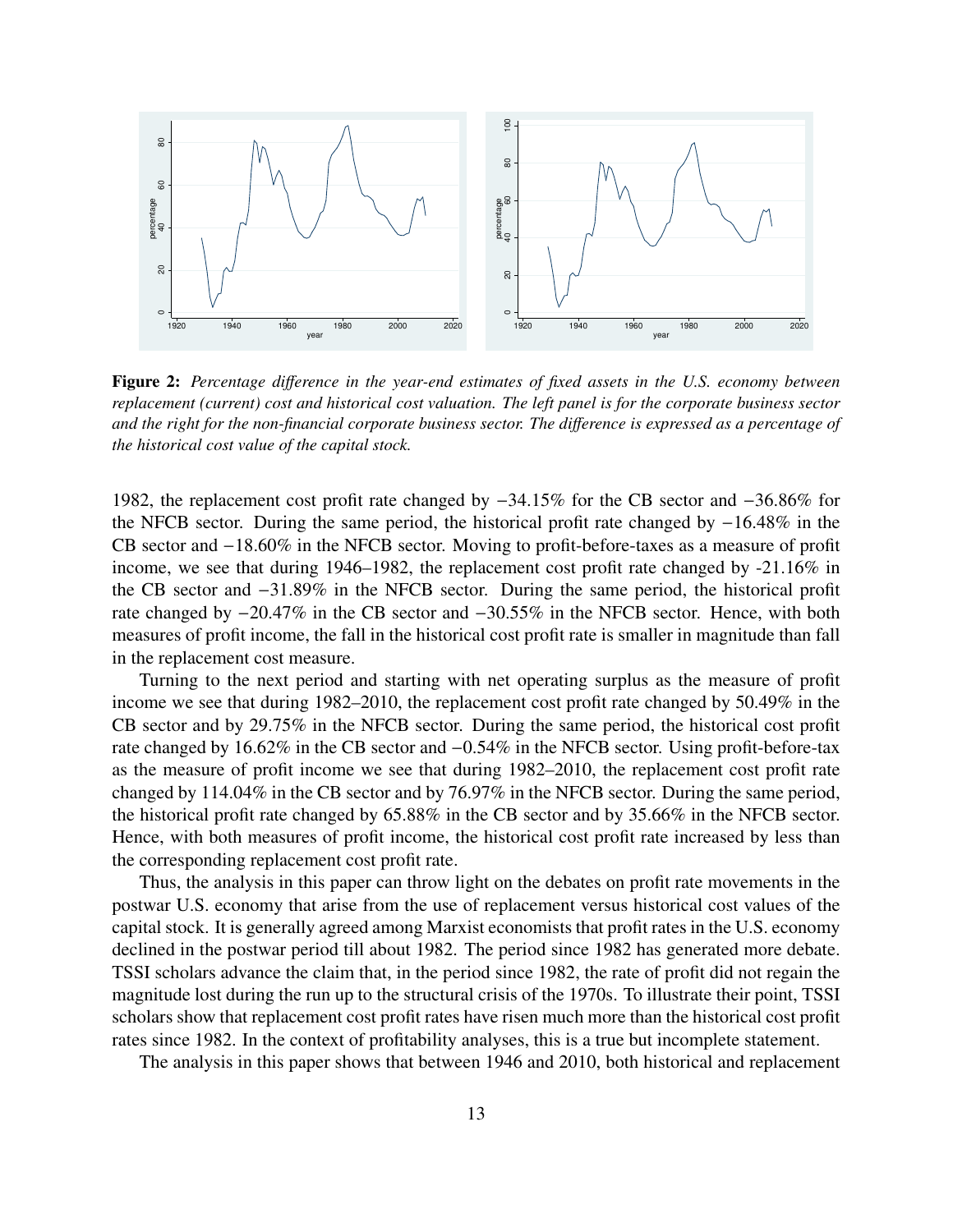

Figure 2: *Percentage di*ff*erence in the year-end estimates of fixed assets in the U.S. economy between replacement (current) cost and historical cost valuation. The left panel is for the corporate business sector and the right for the non-financial corporate business sector. The di*ff*erence is expressed as a percentage of the historical cost value of the capital stock.*

1982, the replacement cost profit rate changed by <sup>−</sup>34.15% for the CB sector and <sup>−</sup>36.86% for the NFCB sector. During the same period, the historical profit rate changed by <sup>−</sup>16.48% in the CB sector and <sup>−</sup>18.60% in the NFCB sector. Moving to profit-before-taxes as a measure of profit income, we see that during 1946–1982, the replacement cost profit rate changed by -21.16% in the CB sector and <sup>−</sup>31.89% in the NFCB sector. During the same period, the historical profit rate changed by <sup>−</sup>20.47% in the CB sector and <sup>−</sup>30.55% in the NFCB sector. Hence, with both measures of profit income, the fall in the historical cost profit rate is smaller in magnitude than fall in the replacement cost measure.

Turning to the next period and starting with net operating surplus as the measure of profit income we see that during 1982–2010, the replacement cost profit rate changed by 50.49% in the CB sector and by 29.75% in the NFCB sector. During the same period, the historical cost profit rate changed by 16.62% in the CB sector and <sup>−</sup>0.54% in the NFCB sector. Using profit-before-tax as the measure of profit income we see that during 1982–2010, the replacement cost profit rate changed by 114.04% in the CB sector and by 76.97% in the NFCB sector. During the same period, the historical profit rate changed by 65.88% in the CB sector and by 35.66% in the NFCB sector. Hence, with both measures of profit income, the historical cost profit rate increased by less than the corresponding replacement cost profit rate.

Thus, the analysis in this paper can throw light on the debates on profit rate movements in the postwar U.S. economy that arise from the use of replacement versus historical cost values of the capital stock. It is generally agreed among Marxist economists that profit rates in the U.S. economy declined in the postwar period till about 1982. The period since 1982 has generated more debate. TSSI scholars advance the claim that, in the period since 1982, the rate of profit did not regain the magnitude lost during the run up to the structural crisis of the 1970s. To illustrate their point, TSSI scholars show that replacement cost profit rates have risen much more than the historical cost profit rates since 1982. In the context of profitability analyses, this is a true but incomplete statement.

The analysis in this paper shows that between 1946 and 2010, both historical and replacement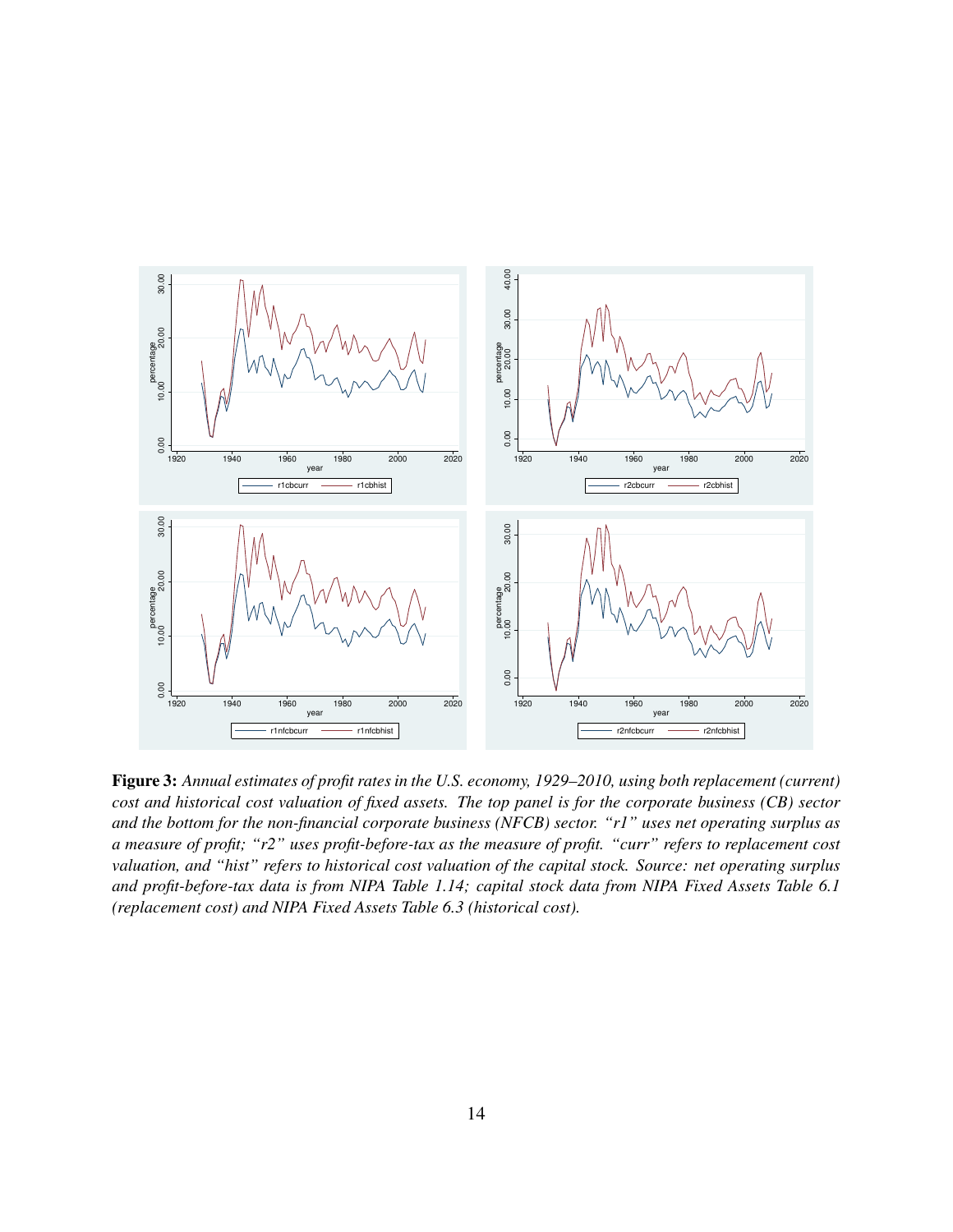

Figure 3: *Annual estimates of profit rates in the U.S. economy, 1929–2010, using both replacement (current) cost and historical cost valuation of fixed assets. The top panel is for the corporate business (CB) sector and the bottom for the non-financial corporate business (NFCB) sector. "r1" uses net operating surplus as a measure of profit; "r2" uses profit-before-tax as the measure of profit. "curr" refers to replacement cost valuation, and "hist" refers to historical cost valuation of the capital stock. Source: net operating surplus and profit-before-tax data is from NIPA Table 1.14; capital stock data from NIPA Fixed Assets Table 6.1 (replacement cost) and NIPA Fixed Assets Table 6.3 (historical cost).*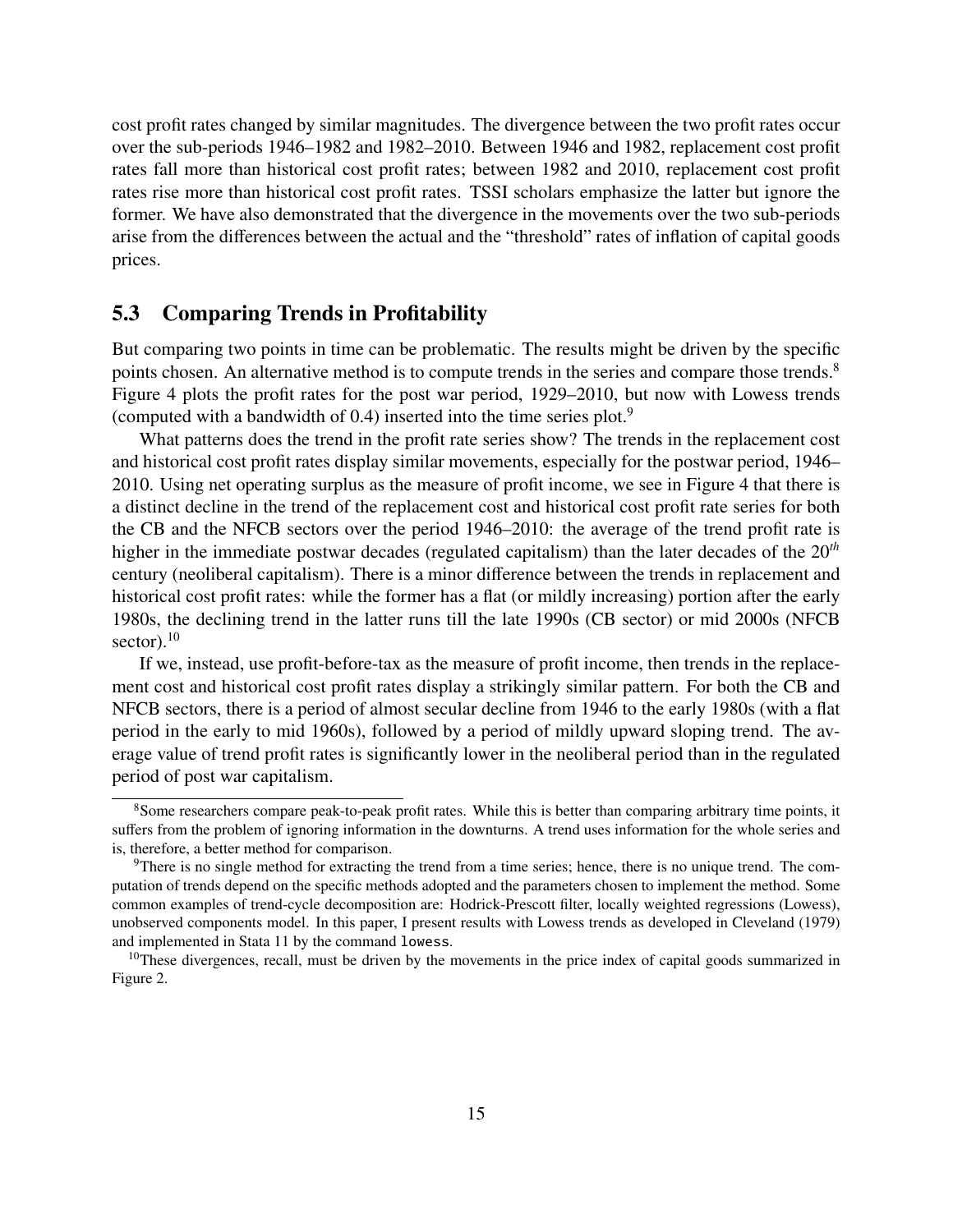cost profit rates changed by similar magnitudes. The divergence between the two profit rates occur over the sub-periods 1946–1982 and 1982–2010. Between 1946 and 1982, replacement cost profit rates fall more than historical cost profit rates; between 1982 and 2010, replacement cost profit rates rise more than historical cost profit rates. TSSI scholars emphasize the latter but ignore the former. We have also demonstrated that the divergence in the movements over the two sub-periods arise from the differences between the actual and the "threshold" rates of inflation of capital goods prices.

#### 5.3 Comparing Trends in Profitability

But comparing two points in time can be problematic. The results might be driven by the specific points chosen. An alternative method is to compute trends in the series and compare those trends.<sup>8</sup> Figure 4 plots the profit rates for the post war period, 1929–2010, but now with Lowess trends (computed with a bandwidth of 0.4) inserted into the time series plot.<sup>9</sup>

What patterns does the trend in the profit rate series show? The trends in the replacement cost and historical cost profit rates display similar movements, especially for the postwar period, 1946– 2010. Using net operating surplus as the measure of profit income, we see in Figure 4 that there is a distinct decline in the trend of the replacement cost and historical cost profit rate series for both the CB and the NFCB sectors over the period 1946–2010: the average of the trend profit rate is higher in the immediate postwar decades (regulated capitalism) than the later decades of the 20*th* century (neoliberal capitalism). There is a minor difference between the trends in replacement and historical cost profit rates: while the former has a flat (or mildly increasing) portion after the early 1980s, the declining trend in the latter runs till the late 1990s (CB sector) or mid 2000s (NFCB sector). $10$ 

If we, instead, use profit-before-tax as the measure of profit income, then trends in the replacement cost and historical cost profit rates display a strikingly similar pattern. For both the CB and NFCB sectors, there is a period of almost secular decline from 1946 to the early 1980s (with a flat period in the early to mid 1960s), followed by a period of mildly upward sloping trend. The average value of trend profit rates is significantly lower in the neoliberal period than in the regulated period of post war capitalism.

<sup>&</sup>lt;sup>8</sup>Some researchers compare peak-to-peak profit rates. While this is better than comparing arbitrary time points, it suffers from the problem of ignoring information in the downturns. A trend uses information for the whole series and is, therefore, a better method for comparison.

 $9$ There is no single method for extracting the trend from a time series; hence, there is no unique trend. The computation of trends depend on the specific methods adopted and the parameters chosen to implement the method. Some common examples of trend-cycle decomposition are: Hodrick-Prescott filter, locally weighted regressions (Lowess), unobserved components model. In this paper, I present results with Lowess trends as developed in Cleveland (1979) and implemented in Stata 11 by the command lowess.

 $10$ These divergences, recall, must be driven by the movements in the price index of capital goods summarized in Figure 2.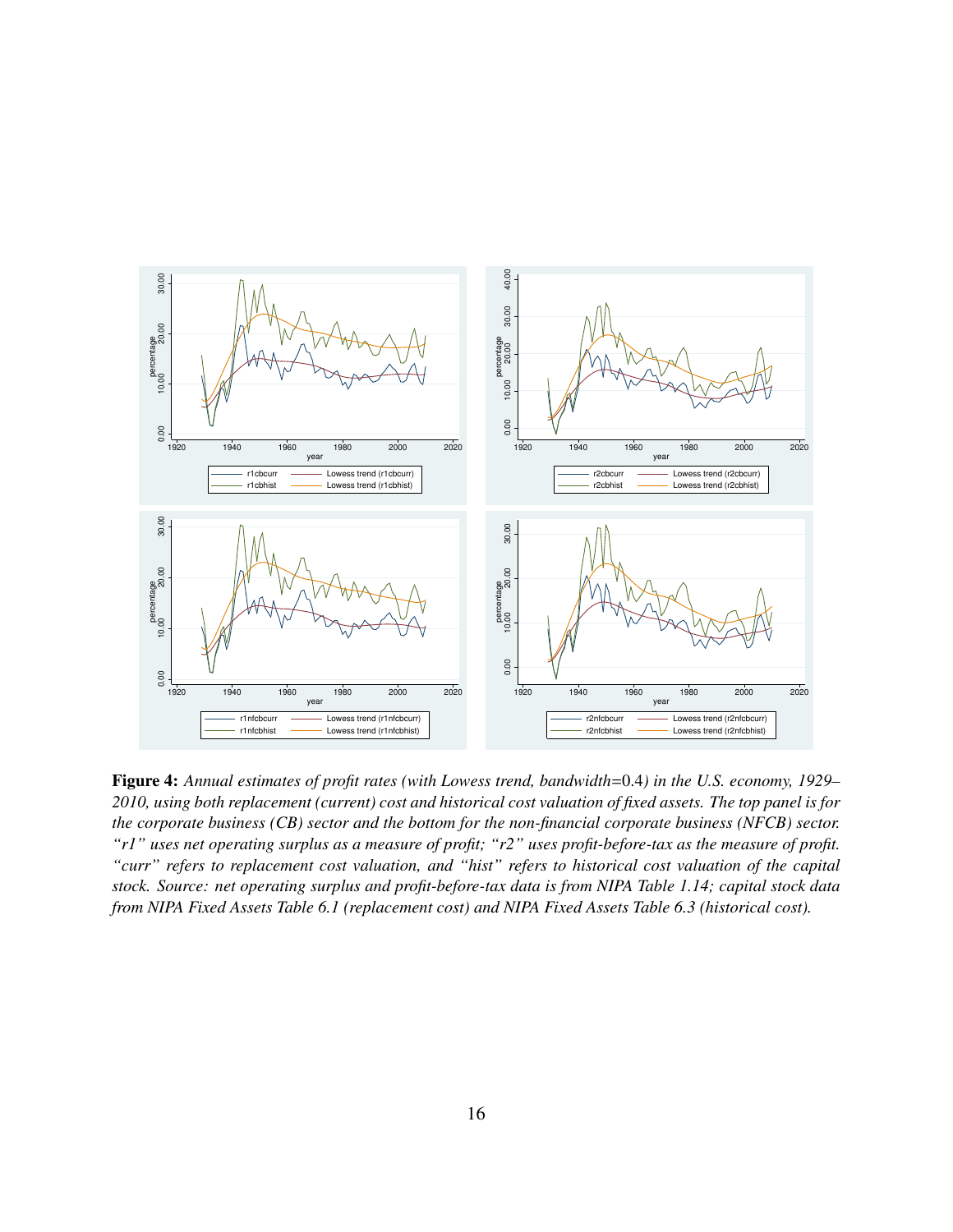

Figure 4: *Annual estimates of profit rates (with Lowess trend, bandwidth*=0.4*) in the U.S. economy, 1929– 2010, using both replacement (current) cost and historical cost valuation of fixed assets. The top panel is for the corporate business (CB) sector and the bottom for the non-financial corporate business (NFCB) sector. "r1" uses net operating surplus as a measure of profit; "r2" uses profit-before-tax as the measure of profit. "curr" refers to replacement cost valuation, and "hist" refers to historical cost valuation of the capital stock. Source: net operating surplus and profit-before-tax data is from NIPA Table 1.14; capital stock data from NIPA Fixed Assets Table 6.1 (replacement cost) and NIPA Fixed Assets Table 6.3 (historical cost).*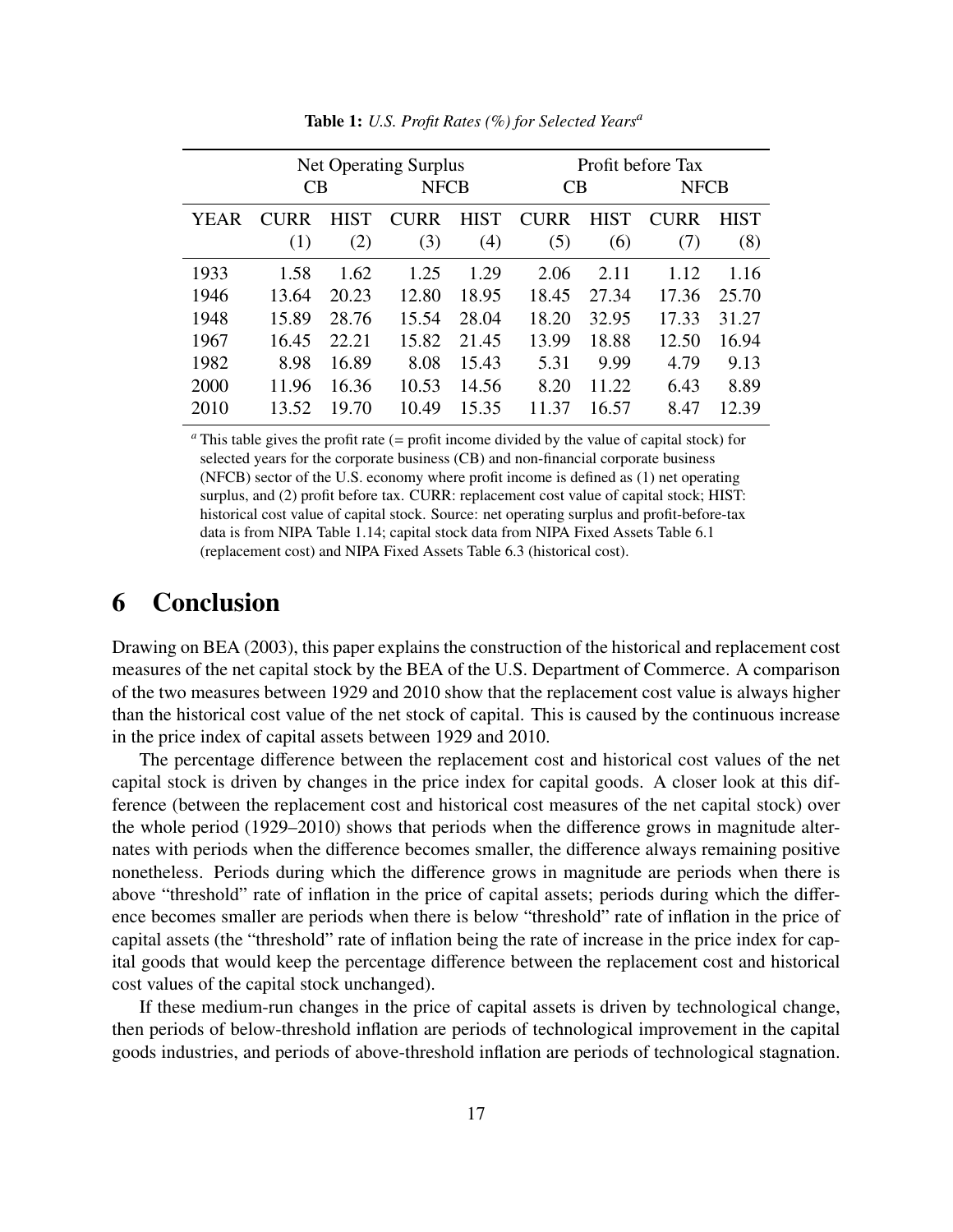|      | <b>Net Operating Surplus</b> |             |             |             | Profit before Tax |             |             |             |
|------|------------------------------|-------------|-------------|-------------|-------------------|-------------|-------------|-------------|
|      | CB                           |             | <b>NFCB</b> |             | <b>CB</b>         |             | <b>NFCB</b> |             |
| YEAR | <b>CURR</b>                  | <b>HIST</b> | <b>CURR</b> | <b>HIST</b> | <b>CURR</b>       | <b>HIST</b> | <b>CURR</b> | <b>HIST</b> |
|      | (1)                          | (2)         | (3)         | (4)         | (5)               | (6)         | (7)         | (8)         |
| 1933 | 1.58                         | 1.62        | 1.25        | 1.29        | 2.06              | 2.11        | 1.12        | 1.16        |
| 1946 | 13.64                        | 20.23       | 12.80       | 18.95       | 18.45             | 27.34       | 17.36       | 25.70       |
| 1948 | 15.89                        | 28.76       | 15.54       | 28.04       | 18.20             | 32.95       | 17.33       | 31.27       |
| 1967 | 16.45                        | 22.21       | 15.82       | 21.45       | 13.99             | 18.88       | 12.50       | 16.94       |
| 1982 | 8.98                         | 16.89       | 8.08        | 15.43       | 5.31              | 9.99        | 4.79        | 9.13        |
| 2000 | 11.96                        | 16.36       | 10.53       | 14.56       | 8.20              | 11.22       | 6.43        | 8.89        |
| 2010 | 13.52                        | 19.70       | 10.49       | 15.35       | 11.37             | 16.57       | 8.47        | 12.39       |

Table 1: *U.S. Profit Rates (%) for Selected Years<sup>a</sup>*

*<sup>a</sup>* This table gives the profit rate (= profit income divided by the value of capital stock) for selected years for the corporate business (CB) and non-financial corporate business (NFCB) sector of the U.S. economy where profit income is defined as (1) net operating surplus, and (2) profit before tax. CURR: replacement cost value of capital stock; HIST: historical cost value of capital stock. Source: net operating surplus and profit-before-tax data is from NIPA Table 1.14; capital stock data from NIPA Fixed Assets Table 6.1 (replacement cost) and NIPA Fixed Assets Table 6.3 (historical cost).

### 6 Conclusion

Drawing on BEA (2003), this paper explains the construction of the historical and replacement cost measures of the net capital stock by the BEA of the U.S. Department of Commerce. A comparison of the two measures between 1929 and 2010 show that the replacement cost value is always higher than the historical cost value of the net stock of capital. This is caused by the continuous increase in the price index of capital assets between 1929 and 2010.

The percentage difference between the replacement cost and historical cost values of the net capital stock is driven by changes in the price index for capital goods. A closer look at this difference (between the replacement cost and historical cost measures of the net capital stock) over the whole period (1929–2010) shows that periods when the difference grows in magnitude alternates with periods when the difference becomes smaller, the difference always remaining positive nonetheless. Periods during which the difference grows in magnitude are periods when there is above "threshold" rate of inflation in the price of capital assets; periods during which the difference becomes smaller are periods when there is below "threshold" rate of inflation in the price of capital assets (the "threshold" rate of inflation being the rate of increase in the price index for capital goods that would keep the percentage difference between the replacement cost and historical cost values of the capital stock unchanged).

If these medium-run changes in the price of capital assets is driven by technological change, then periods of below-threshold inflation are periods of technological improvement in the capital goods industries, and periods of above-threshold inflation are periods of technological stagnation.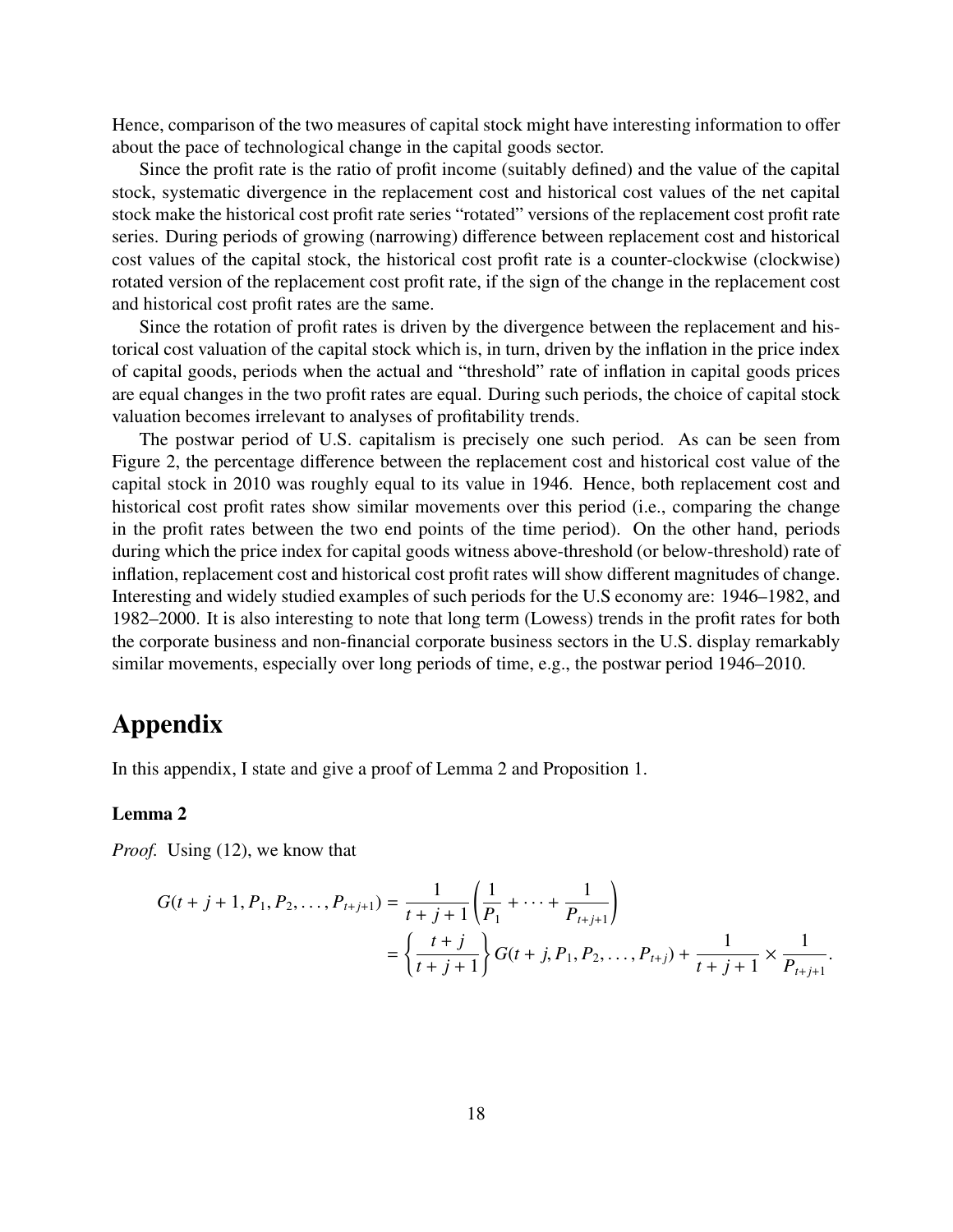Hence, comparison of the two measures of capital stock might have interesting information to offer about the pace of technological change in the capital goods sector.

Since the profit rate is the ratio of profit income (suitably defined) and the value of the capital stock, systematic divergence in the replacement cost and historical cost values of the net capital stock make the historical cost profit rate series "rotated" versions of the replacement cost profit rate series. During periods of growing (narrowing) difference between replacement cost and historical cost values of the capital stock, the historical cost profit rate is a counter-clockwise (clockwise) rotated version of the replacement cost profit rate, if the sign of the change in the replacement cost and historical cost profit rates are the same.

Since the rotation of profit rates is driven by the divergence between the replacement and historical cost valuation of the capital stock which is, in turn, driven by the inflation in the price index of capital goods, periods when the actual and "threshold" rate of inflation in capital goods prices are equal changes in the two profit rates are equal. During such periods, the choice of capital stock valuation becomes irrelevant to analyses of profitability trends.

The postwar period of U.S. capitalism is precisely one such period. As can be seen from Figure 2, the percentage difference between the replacement cost and historical cost value of the capital stock in 2010 was roughly equal to its value in 1946. Hence, both replacement cost and historical cost profit rates show similar movements over this period (i.e., comparing the change in the profit rates between the two end points of the time period). On the other hand, periods during which the price index for capital goods witness above-threshold (or below-threshold) rate of inflation, replacement cost and historical cost profit rates will show different magnitudes of change. Interesting and widely studied examples of such periods for the U.S economy are: 1946–1982, and 1982–2000. It is also interesting to note that long term (Lowess) trends in the profit rates for both the corporate business and non-financial corporate business sectors in the U.S. display remarkably similar movements, especially over long periods of time, e.g., the postwar period 1946–2010.

### Appendix

In this appendix, I state and give a proof of Lemma 2 and Proposition 1.

#### Lemma 2

*Proof.* Using (12), we know that

$$
G(t+j+1, P_1, P_2, \dots, P_{t+j+1}) = \frac{1}{t+j+1} \left( \frac{1}{P_1} + \dots + \frac{1}{P_{t+j+1}} \right)
$$
  
= 
$$
\left\{ \frac{t+j}{t+j+1} \right\} G(t+j, P_1, P_2, \dots, P_{t+j}) + \frac{1}{t+j+1} \times \frac{1}{P_{t+j+1}}
$$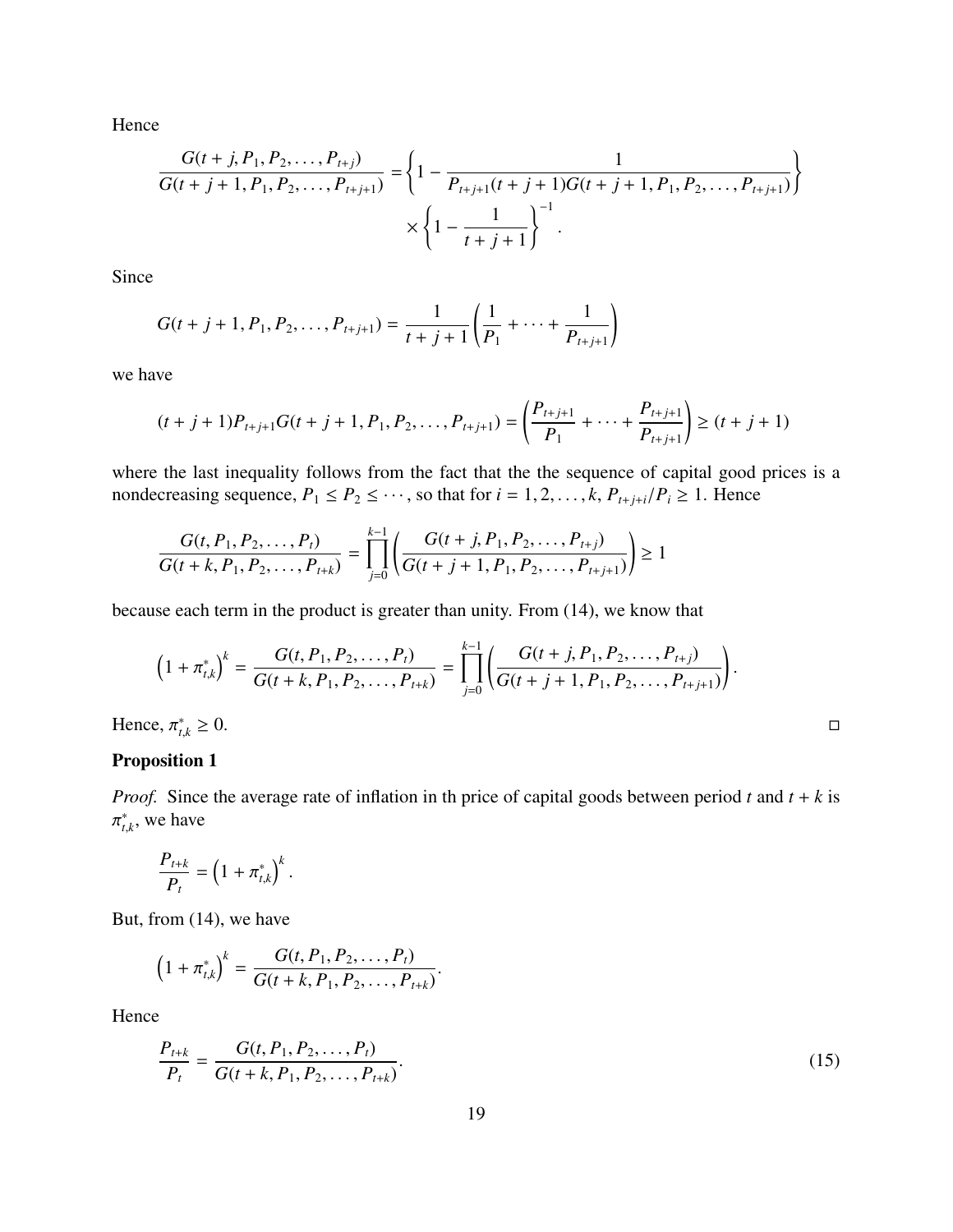Hence

$$
\frac{G(t+j, P_1, P_2, \dots, P_{t+j})}{G(t+j+1, P_1, P_2, \dots, P_{t+j+1})} = \left\{1 - \frac{1}{P_{t+j+1}(t+j+1)G(t+j+1, P_1, P_2, \dots, P_{t+j+1})}\right\}
$$

$$
\times \left\{1 - \frac{1}{t+j+1}\right\}^{-1}.
$$

Since

$$
G(t+j+1, P_1, P_2, \ldots, P_{t+j+1}) = \frac{1}{t+j+1} \left( \frac{1}{P_1} + \cdots + \frac{1}{P_{t+j+1}} \right)
$$

we have

$$
(t+j+1)P_{t+j+1}G(t+j+1,P_1,P_2,\ldots,P_{t+j+1}) = \left(\frac{P_{t+j+1}}{P_1}+\cdots+\frac{P_{t+j+1}}{P_{t+j+1}}\right) \ge (t+j+1)
$$

where the last inequality follows from the fact that the the sequence of capital good prices is a nondecreasing sequence,  $P_1 \le P_2 \le \cdots$ , so that for  $i = 1, 2, \ldots, k$ ,  $P_{t+j+i}/P_i \ge 1$ . Hence

$$
\frac{G(t, P_1, P_2, \dots, P_t)}{G(t+k, P_1, P_2, \dots, P_{t+k})} = \prod_{j=0}^{k-1} \left( \frac{G(t+j, P_1, P_2, \dots, P_{t+j})}{G(t+j+1, P_1, P_2, \dots, P_{t+j+1})} \right) \ge 1
$$

because each term in the product is greater than unity. From (14), we know that

$$
(1 + \pi_{t,k}^*)^k = \frac{G(t, P_1, P_2, \dots, P_t)}{G(t + k, P_1, P_2, \dots, P_{t+k})} = \prod_{j=0}^{k-1} \left( \frac{G(t + j, P_1, P_2, \dots, P_{t+j})}{G(t + j + 1, P_1, P_2, \dots, P_{t+j+1})} \right).
$$
  
ce,  $\pi_{t,k}^* \ge 0$ .

Hence,  $\pi^*_{t,}$ 

#### Proposition 1

*Proof.* Since the average rate of inflation in th price of capital goods between period  $t$  and  $t + k$  is ∗  $t_{t,k}^*$ , we have

$$
\frac{P_{t+k}}{P_t} = \left(1 + \pi_{t,k}^*\right)^k.
$$

But, from (14), we have

$$
(1+\pi_{t,k}^*)^k = \frac{G(t, P_1, P_2, \ldots, P_t)}{G(t+k, P_1, P_2, \ldots, P_{t+k})}.
$$

Hence

$$
\frac{P_{t+k}}{P_t} = \frac{G(t, P_1, P_2, \dots, P_t)}{G(t+k, P_1, P_2, \dots, P_{t+k})}.
$$
\n(15)